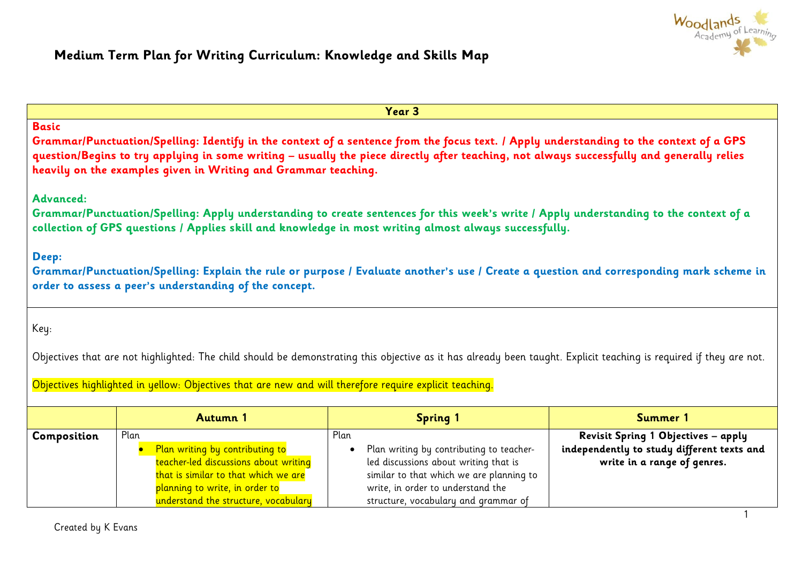

# **Medium Term Plan for Writing Curriculum: Knowledge and Skills Map**

|                                                                                                                                                                                                                                                                                                                                                                       |                                                                                                                                                                                                    | Year 3                                                                                                                                                                                                                          |                                                                                                                  |  |  |
|-----------------------------------------------------------------------------------------------------------------------------------------------------------------------------------------------------------------------------------------------------------------------------------------------------------------------------------------------------------------------|----------------------------------------------------------------------------------------------------------------------------------------------------------------------------------------------------|---------------------------------------------------------------------------------------------------------------------------------------------------------------------------------------------------------------------------------|------------------------------------------------------------------------------------------------------------------|--|--|
| <b>Basic</b><br>Grammar/Punctuation/Spelling: Identify in the context of a sentence from the focus text. / Apply understanding to the context of a GPS<br>question/Begins to try applying in some writing – usually the piece directly after teaching, not always successfully and generally relies<br>heavily on the examples given in Writing and Grammar teaching. |                                                                                                                                                                                                    |                                                                                                                                                                                                                                 |                                                                                                                  |  |  |
| <b>Advanced:</b><br>Grammar/Punctuation/Spelling: Apply understanding to create sentences for this week's write / Apply understanding to the context of a<br>collection of GPS questions / Applies skill and knowledge in most writing almost always successfully.                                                                                                    |                                                                                                                                                                                                    |                                                                                                                                                                                                                                 |                                                                                                                  |  |  |
| Deep:                                                                                                                                                                                                                                                                                                                                                                 | Grammar/Punctuation/Spelling: Explain the rule or purpose / Evaluate another's use / Create a question and corresponding mark scheme in<br>order to assess a peer's understanding of the concept.  |                                                                                                                                                                                                                                 |                                                                                                                  |  |  |
| Key:<br>Objectives that are not highlighted: The child should be demonstrating this objective as it has already been taught. Explicit teaching is required if they are not.                                                                                                                                                                                           |                                                                                                                                                                                                    |                                                                                                                                                                                                                                 |                                                                                                                  |  |  |
| Objectives highlighted in yellow: Objectives that are new and will therefore require explicit teaching.                                                                                                                                                                                                                                                               |                                                                                                                                                                                                    |                                                                                                                                                                                                                                 |                                                                                                                  |  |  |
|                                                                                                                                                                                                                                                                                                                                                                       | <b>Autumn 1</b><br>Summer 1<br><b>Spring 1</b>                                                                                                                                                     |                                                                                                                                                                                                                                 |                                                                                                                  |  |  |
| Composition                                                                                                                                                                                                                                                                                                                                                           | Plan<br>Plan writing by contributing to<br>teacher-led discussions about writing<br>that is similar to that which we are<br>planning to write, in order to<br>understand the structure, vocabulary | Plan<br>Plan writing by contributing to teacher-<br>$\bullet$<br>led discussions about writing that is<br>similar to that which we are planning to<br>write, in order to understand the<br>structure, vocabulary and grammar of | Revisit Spring 1 Objectives - apply<br>independently to study different texts and<br>write in a range of genres. |  |  |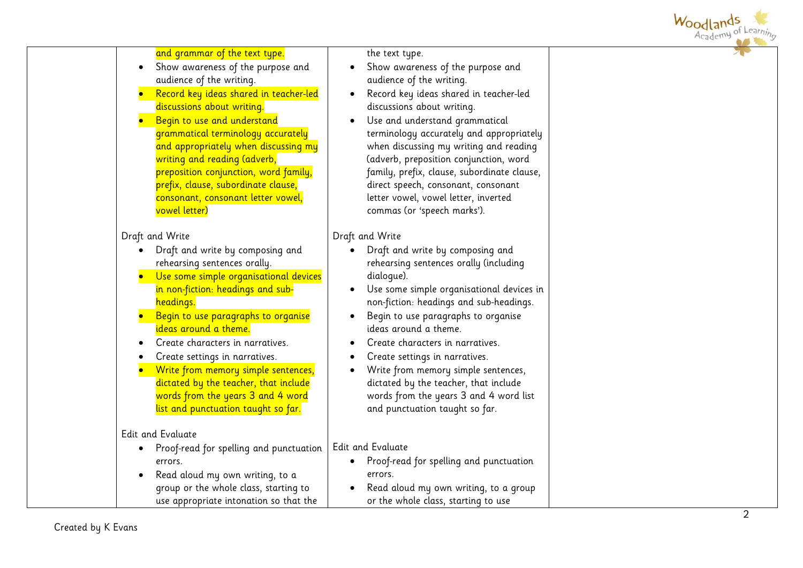

and grammar of the text type.

- Show awareness of the purpose and audience of the writing.
- Record key ideas shared in teacher -led discussions about writing.
- Begin to use and understand grammatical terminology accurately and appropriately when discussing my writing and reading (adverb, preposition conjunction, word family, prefix, clause, subordinate clause, consonant, consonant letter vowel, vowel letter)

Draft and Write

- Draft and write by composing and rehearsing sentences orally.
- **Use some simple organisational devices** in non -fiction: headings and sub headings.
- Begin to use paragraphs to organise ideas around a theme.
- Create characters in narratives.
- Create settings in narratives.
- **.** Write from memory simple sentences, dictated by the teacher, that include words from the years 3 and 4 word list and punctuation taught so far.

#### Edit and Evaluate

• Proof-read for spelling and punctuation errors. Read aloud my own writing, to a group or the whole class, starting to

use appropriate intonation so that the

the text type.

- Show awareness of the purpose and audience of the writing.
- Record key ideas shared in teacher -led discussions about writing.
- Use and understand grammatical terminology accurately and appropriately when discussing my writing and reading (adverb, preposition conjunction, word family, prefix, clause, subordinate clause, direct speech, consonant, consonant letter vowel, vowel letter, inverted commas (or 'speech marks').

Draft and Write

- Draft and write bu composing and rehearsing sentences orally (including dialogue).
- Use some simple organisational devices in non -fiction: headings and sub -headings.
- Begin to use paragraphs to organise ideas around a theme.
- Create characters in narratives.
- Create settings in narratives.
- Write from memory simple sentences, dictated by the teacher, that include words from the years 3 and 4 word list and punctuation taught so far.

#### Edit and Evaluate

- Proof-read for spelling and punctuation errors.
- Read aloud my own writing, to a group or the whole class, starting to use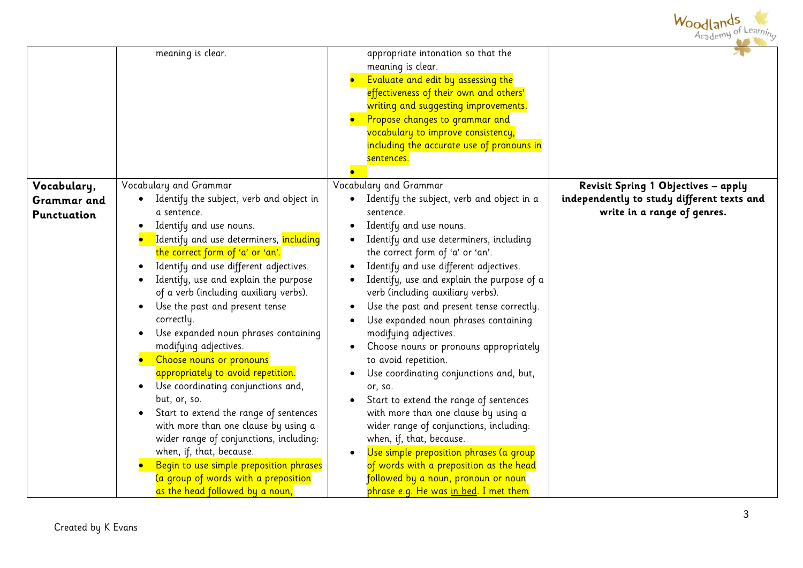

| Vocabulary and Grammar<br>Vocabulary and Grammar<br>Revisit Spring 1 Objectives - apply<br>Vocabulary,<br>Identify the subject, verb and object in<br>Identify the subject, verb and object in a<br>independently to study different texts and<br>Grammar and<br>$\bullet$<br>$\bullet$<br>write in a range of genres.<br>a sentence.<br>sentence.<br>Punctuation<br>Identify and use nouns.<br>Identify and use nouns.<br>$\bullet$<br>Identify and use determiners, including<br>Identify and use determiners, including<br>the correct form of 'a' or 'an'.<br>the correct form of 'a' or 'an'.<br>Identify and use different adjectives.<br>Identify and use different adjectives.<br>$\bullet$<br>Identify, use and explain the purpose<br>Identify, use and explain the purpose of a<br>of a verb (including auxiliary verbs).<br>verb (including auxiliary verbs).<br>Use the past and present tense<br>Use the past and present tense correctly.<br>$\bullet$<br>$\bullet$<br>correctly.<br>Use expanded noun phrases containing<br>Use expanded noun phrases containing<br>modifying adjectives.<br>$\bullet$<br>modifying adjectives.<br>Choose nouns or pronouns appropriately<br>Choose nouns or pronouns<br>to avoid repetition.<br>appropriately to avoid repetition.<br>Use coordinating conjunctions and, but,<br>Use coordinating conjunctions and,<br>or, so.<br>٠<br>Start to extend the range of sentences<br>but, or, so.<br>Start to extend the range of sentences<br>with more than one clause by using a<br>with more than one clause by using a<br>wider range of conjunctions, including: | meaning is clear.                       | appropriate intonation so that the<br>meaning is clear.<br>Evaluate and edit by assessing the<br>effectiveness of their own and others'<br>writing and suggesting improvements.<br>Propose changes to grammar and<br>vocabulary to improve consistency,<br>including the accurate use of pronouns in<br>sentences. |  |
|---------------------------------------------------------------------------------------------------------------------------------------------------------------------------------------------------------------------------------------------------------------------------------------------------------------------------------------------------------------------------------------------------------------------------------------------------------------------------------------------------------------------------------------------------------------------------------------------------------------------------------------------------------------------------------------------------------------------------------------------------------------------------------------------------------------------------------------------------------------------------------------------------------------------------------------------------------------------------------------------------------------------------------------------------------------------------------------------------------------------------------------------------------------------------------------------------------------------------------------------------------------------------------------------------------------------------------------------------------------------------------------------------------------------------------------------------------------------------------------------------------------------------------------------------------------------------------------------------------------------|-----------------------------------------|--------------------------------------------------------------------------------------------------------------------------------------------------------------------------------------------------------------------------------------------------------------------------------------------------------------------|--|
|                                                                                                                                                                                                                                                                                                                                                                                                                                                                                                                                                                                                                                                                                                                                                                                                                                                                                                                                                                                                                                                                                                                                                                                                                                                                                                                                                                                                                                                                                                                                                                                                                     |                                         |                                                                                                                                                                                                                                                                                                                    |  |
|                                                                                                                                                                                                                                                                                                                                                                                                                                                                                                                                                                                                                                                                                                                                                                                                                                                                                                                                                                                                                                                                                                                                                                                                                                                                                                                                                                                                                                                                                                                                                                                                                     |                                         |                                                                                                                                                                                                                                                                                                                    |  |
|                                                                                                                                                                                                                                                                                                                                                                                                                                                                                                                                                                                                                                                                                                                                                                                                                                                                                                                                                                                                                                                                                                                                                                                                                                                                                                                                                                                                                                                                                                                                                                                                                     |                                         |                                                                                                                                                                                                                                                                                                                    |  |
|                                                                                                                                                                                                                                                                                                                                                                                                                                                                                                                                                                                                                                                                                                                                                                                                                                                                                                                                                                                                                                                                                                                                                                                                                                                                                                                                                                                                                                                                                                                                                                                                                     |                                         |                                                                                                                                                                                                                                                                                                                    |  |
|                                                                                                                                                                                                                                                                                                                                                                                                                                                                                                                                                                                                                                                                                                                                                                                                                                                                                                                                                                                                                                                                                                                                                                                                                                                                                                                                                                                                                                                                                                                                                                                                                     |                                         |                                                                                                                                                                                                                                                                                                                    |  |
|                                                                                                                                                                                                                                                                                                                                                                                                                                                                                                                                                                                                                                                                                                                                                                                                                                                                                                                                                                                                                                                                                                                                                                                                                                                                                                                                                                                                                                                                                                                                                                                                                     |                                         |                                                                                                                                                                                                                                                                                                                    |  |
|                                                                                                                                                                                                                                                                                                                                                                                                                                                                                                                                                                                                                                                                                                                                                                                                                                                                                                                                                                                                                                                                                                                                                                                                                                                                                                                                                                                                                                                                                                                                                                                                                     |                                         |                                                                                                                                                                                                                                                                                                                    |  |
|                                                                                                                                                                                                                                                                                                                                                                                                                                                                                                                                                                                                                                                                                                                                                                                                                                                                                                                                                                                                                                                                                                                                                                                                                                                                                                                                                                                                                                                                                                                                                                                                                     |                                         |                                                                                                                                                                                                                                                                                                                    |  |
|                                                                                                                                                                                                                                                                                                                                                                                                                                                                                                                                                                                                                                                                                                                                                                                                                                                                                                                                                                                                                                                                                                                                                                                                                                                                                                                                                                                                                                                                                                                                                                                                                     |                                         |                                                                                                                                                                                                                                                                                                                    |  |
|                                                                                                                                                                                                                                                                                                                                                                                                                                                                                                                                                                                                                                                                                                                                                                                                                                                                                                                                                                                                                                                                                                                                                                                                                                                                                                                                                                                                                                                                                                                                                                                                                     |                                         |                                                                                                                                                                                                                                                                                                                    |  |
|                                                                                                                                                                                                                                                                                                                                                                                                                                                                                                                                                                                                                                                                                                                                                                                                                                                                                                                                                                                                                                                                                                                                                                                                                                                                                                                                                                                                                                                                                                                                                                                                                     |                                         |                                                                                                                                                                                                                                                                                                                    |  |
|                                                                                                                                                                                                                                                                                                                                                                                                                                                                                                                                                                                                                                                                                                                                                                                                                                                                                                                                                                                                                                                                                                                                                                                                                                                                                                                                                                                                                                                                                                                                                                                                                     |                                         |                                                                                                                                                                                                                                                                                                                    |  |
|                                                                                                                                                                                                                                                                                                                                                                                                                                                                                                                                                                                                                                                                                                                                                                                                                                                                                                                                                                                                                                                                                                                                                                                                                                                                                                                                                                                                                                                                                                                                                                                                                     |                                         |                                                                                                                                                                                                                                                                                                                    |  |
|                                                                                                                                                                                                                                                                                                                                                                                                                                                                                                                                                                                                                                                                                                                                                                                                                                                                                                                                                                                                                                                                                                                                                                                                                                                                                                                                                                                                                                                                                                                                                                                                                     |                                         |                                                                                                                                                                                                                                                                                                                    |  |
|                                                                                                                                                                                                                                                                                                                                                                                                                                                                                                                                                                                                                                                                                                                                                                                                                                                                                                                                                                                                                                                                                                                                                                                                                                                                                                                                                                                                                                                                                                                                                                                                                     |                                         |                                                                                                                                                                                                                                                                                                                    |  |
|                                                                                                                                                                                                                                                                                                                                                                                                                                                                                                                                                                                                                                                                                                                                                                                                                                                                                                                                                                                                                                                                                                                                                                                                                                                                                                                                                                                                                                                                                                                                                                                                                     |                                         |                                                                                                                                                                                                                                                                                                                    |  |
|                                                                                                                                                                                                                                                                                                                                                                                                                                                                                                                                                                                                                                                                                                                                                                                                                                                                                                                                                                                                                                                                                                                                                                                                                                                                                                                                                                                                                                                                                                                                                                                                                     | wider range of conjunctions, including: | when, if, that, because.                                                                                                                                                                                                                                                                                           |  |
| when, if, that, because.<br>Use simple preposition phrases (a group<br>$\bullet$                                                                                                                                                                                                                                                                                                                                                                                                                                                                                                                                                                                                                                                                                                                                                                                                                                                                                                                                                                                                                                                                                                                                                                                                                                                                                                                                                                                                                                                                                                                                    |                                         |                                                                                                                                                                                                                                                                                                                    |  |
| Begin to use simple preposition phrases<br>of words with a preposition as the head                                                                                                                                                                                                                                                                                                                                                                                                                                                                                                                                                                                                                                                                                                                                                                                                                                                                                                                                                                                                                                                                                                                                                                                                                                                                                                                                                                                                                                                                                                                                  |                                         |                                                                                                                                                                                                                                                                                                                    |  |
| (a group of words with a preposition<br>followed by a noun, pronoun or noun<br>as the head followed by a noun,<br>phrase e.g. He was in bed. I met them                                                                                                                                                                                                                                                                                                                                                                                                                                                                                                                                                                                                                                                                                                                                                                                                                                                                                                                                                                                                                                                                                                                                                                                                                                                                                                                                                                                                                                                             |                                         |                                                                                                                                                                                                                                                                                                                    |  |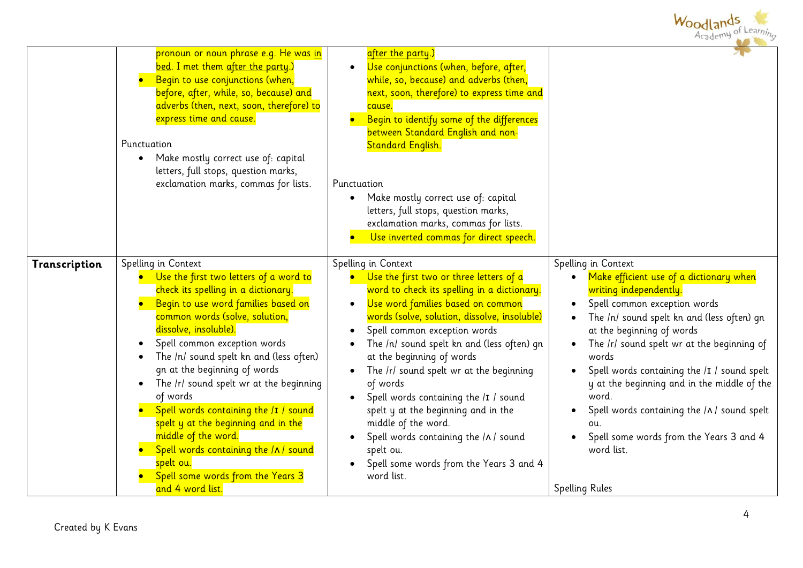

|               | pronoun or noun phrase e.g. He was in<br>bed. I met them after the party.)<br>Begin to use conjunctions (when,<br>before, after, while, so, because) and<br>adverbs (then, next, soon, therefore) to<br>express time and cause.<br>Punctuation<br>Make mostly correct use of: capital<br>letters, full stops, question marks,<br>exclamation marks, commas for lists.                                                                                                                                                                                                                          | after the party.)<br>Use conjunctions (when, before, after,<br>$\bullet$<br>while, so, because) and adverbs (then,<br>next, soon, therefore) to express time and<br>cause.<br>Begin to identify some of the differences<br>between Standard English and non-<br><b>Standard English.</b><br>Punctuation<br>Make mostly correct use of: capital<br>letters, full stops, question marks,<br>exclamation marks, commas for lists.<br>Use inverted commas for direct speech.                                                                                                                                |                                                                                                                                                                                                                                                                                                                                                                                                                                                                                                                              |
|---------------|------------------------------------------------------------------------------------------------------------------------------------------------------------------------------------------------------------------------------------------------------------------------------------------------------------------------------------------------------------------------------------------------------------------------------------------------------------------------------------------------------------------------------------------------------------------------------------------------|---------------------------------------------------------------------------------------------------------------------------------------------------------------------------------------------------------------------------------------------------------------------------------------------------------------------------------------------------------------------------------------------------------------------------------------------------------------------------------------------------------------------------------------------------------------------------------------------------------|------------------------------------------------------------------------------------------------------------------------------------------------------------------------------------------------------------------------------------------------------------------------------------------------------------------------------------------------------------------------------------------------------------------------------------------------------------------------------------------------------------------------------|
| Transcription | Spelling in Context<br>Use the first two letters of a word to<br>check its spelling in a dictionary.<br>Begin to use word families based on<br>common words (solve, solution,<br>dissolve, insoluble).<br>Spell common exception words<br>The /n/ sound spelt kn and (less often)<br>gn at the beginning of words<br>The /r/ sound spelt wr at the beginning<br>of words<br>Spell words containing the /I / sound<br>spelt y at the beginning and in the<br>middle of the word.<br>Spell words containing the /A / sound<br>spelt ou.<br>Spell some words from the Years 3<br>and 4 word list. | Spelling in Context<br>Use the first two or three letters of a<br>word to check its spelling in a dictionary.<br>Use word families based on common<br>$\bullet$<br>words (solve, solution, dissolve, insoluble)<br>Spell common exception words<br>The /n/ sound spelt kn and (less often) gn<br>at the beginning of words<br>The /r/ sound spelt wr at the beginning<br>of words<br>Spell words containing the /I / sound<br>spelt y at the beginning and in the<br>middle of the word.<br>Spell words containing the /A / sound<br>spelt ou.<br>Spell some words from the Years 3 and 4<br>word list. | Spelling in Context<br>Make efficient use of a dictionary when<br>writing independently.<br>Spell common exception words<br>$\bullet$<br>The /n/ sound spelt kn and (less often) qn<br>at the beginning of words<br>The /r/ sound spelt wr at the beginning of<br>words<br>Spell words containing the /I / sound spelt<br>y at the beginning and in the middle of the<br>word.<br>Spell words containing the $/\Lambda$ sound spelt<br>ou.<br>Spell some words from the Years 3 and 4<br>word list.<br><b>Spelling Rules</b> |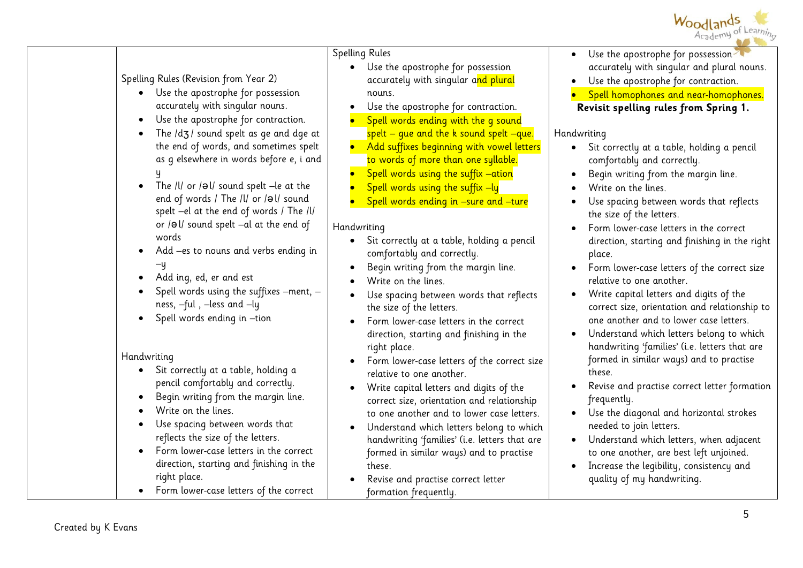

Spelling Rules (Revision from Year 2)

- Use the apostrophe for possession accurately with singular nouns.
- Use the apostrophe for contraction.
- The /dʒ / sound spelt as ge and dge at the end of words, and sometimes spelt as g elsewhere in words before e, i and y
- The *III* or  $\vert \Theta \vert$  sound spelt –le at the end of words / The /l/ or /ə l/ sound spelt –el at the end of words / The /l/ or /ə l/ sound spelt –al at the end of words
- Add –es to nouns and verbs ending in  $-\mathsf{u}$
- Add ing, ed, er and est
- Spell words using the suffixes –ment, ness, –ful , –less and –ly
- Spell words ending in -tion

#### Handwriting

- Sit correctly at a table, holding a pencil comfortably and correctly.
- Begin writing from the margin line.
- Write on the lines.
- Use spacing between words that reflects the size of the letters.
- Form lower-case letters in the correct direction, starting and finishing in the right place.
- Form lower-case letters of the correct

Spelling Rules

- Use the apostrophe for possession accurately with singular and plural nouns.
- Use the apostrophe for contraction.
- Spell words ending with the g sound spelt – que and the  $k$  sound spelt –que.
- Add suffixes beginning with vowel letters to words of more than one syllable.
- Spell words using the suffix –ation
- Spell words using the suffix –ly
- Spell words ending in –sure and –ture

#### Handwriting

- Sit correctly at a table, holding a pencil comfortably and correctly.
- Begin writing from the margin line.
- Write on the lines.
- Use spacing between words that reflects the size of the letters.
- Form lower-case letters in the correct direction, starting and finishing in the right place.
- Form lower-case letters of the correct size relative to one another.
- Write capital letters and digits of the correct size, orientation and relationship to one another and to lower case letters.
- Understand which letters belong to which handwriting 'families' (i.e. letters that are formed in similar ways) and to practise these.
- Revise and practise correct letter formation frequently.
- Use the apostrophe for possession accurately with singular and plural nouns.
- Use the apostrophe for contraction.
- Spell homophones and near-homophones.

#### **Revisit spelling rules from Spring 1.**

Handwriting

- Sit correctly at a table, holding a pencil comfortably and correctly.
- Begin writing from the margin line.
- Write on the lines.
- Use spacing between words that reflects the size of the letters.
- Form lower-case letters in the correct direction, starting and finishing in the right place.
- Form lower-case letters of the correct size relative to one another.
- Write capital letters and digits of the correct size, orientation and relationship to one another and to lower case letters.
- Understand which letters belong to which handwriting 'families' (i.e. letters that are formed in similar ways) and to practise these.
- Revise and practise correct letter formation frequently.
- Use the diagonal and horizontal strokes needed to join letters.
- Understand which letters, when adjacent to one another, are best left unjoined.
- Increase the legibility, consistency and quality of my handwriting.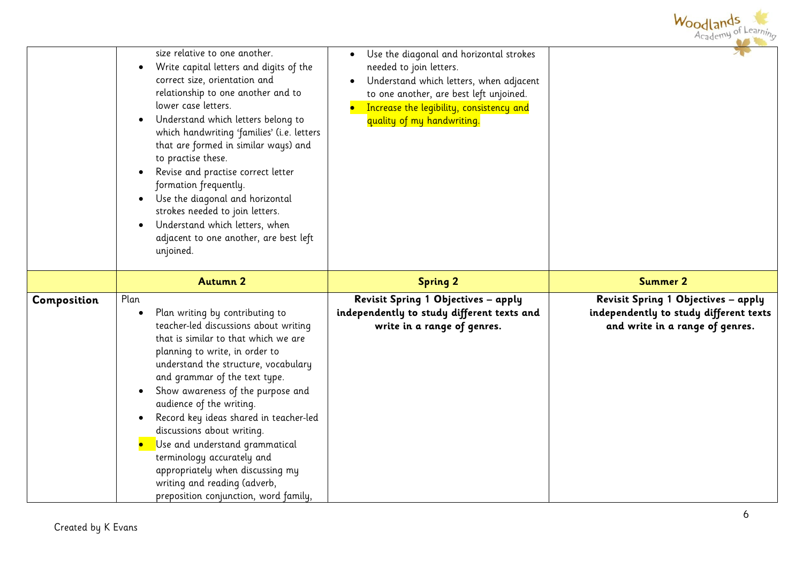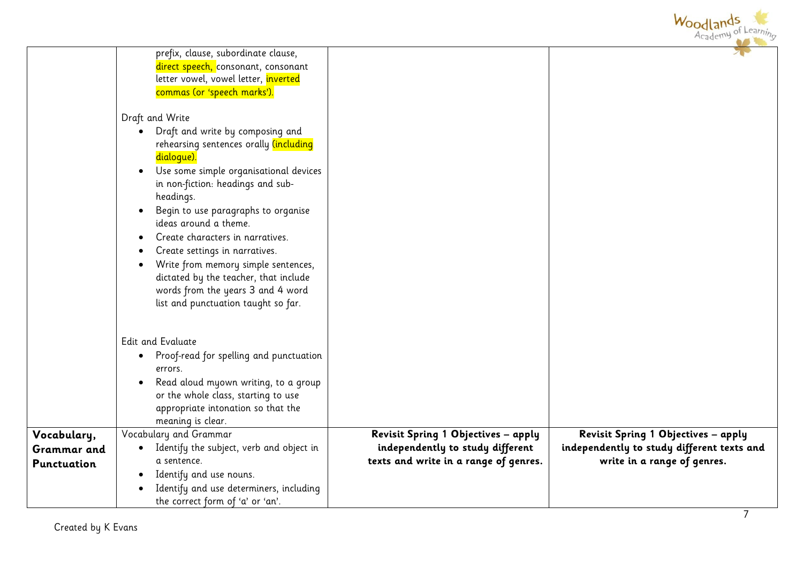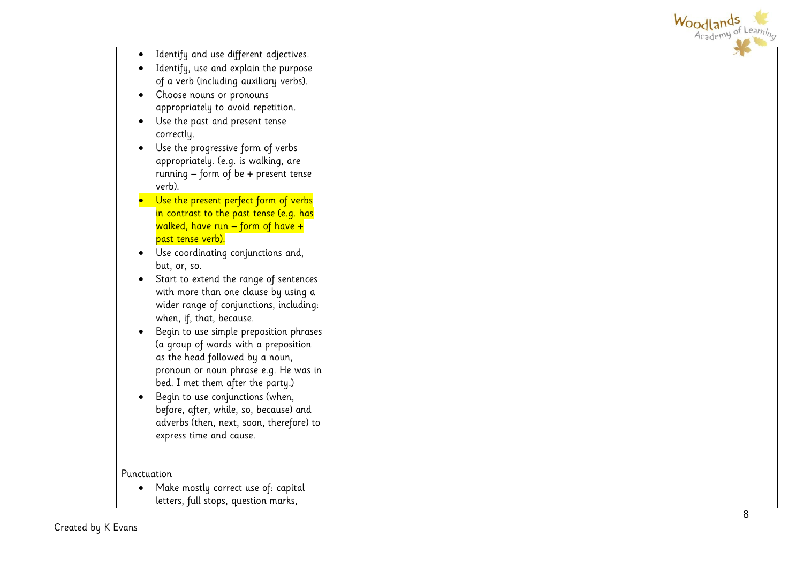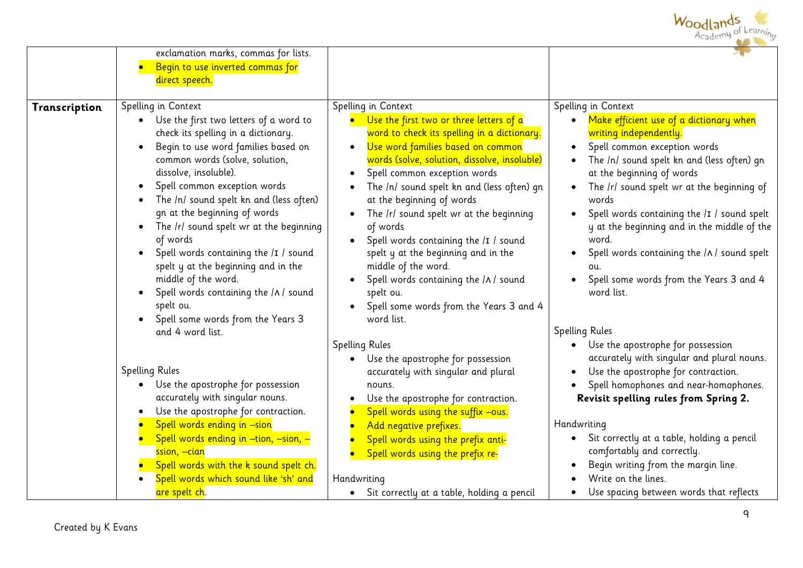

|               | exclamation marks, commas for lists.<br>Begin to use inverted commas for<br>direct speech.                                                                                                                                                                                                                                                                                                                                                                                                                                                                                                                  |                                                                                                                                                                                                                                                                                                                                                                                                                                                                                                                                                                                                                                   |                                                                                                                                                                                                                                                                                                                                                                                                                                                                                                                                     |
|---------------|-------------------------------------------------------------------------------------------------------------------------------------------------------------------------------------------------------------------------------------------------------------------------------------------------------------------------------------------------------------------------------------------------------------------------------------------------------------------------------------------------------------------------------------------------------------------------------------------------------------|-----------------------------------------------------------------------------------------------------------------------------------------------------------------------------------------------------------------------------------------------------------------------------------------------------------------------------------------------------------------------------------------------------------------------------------------------------------------------------------------------------------------------------------------------------------------------------------------------------------------------------------|-------------------------------------------------------------------------------------------------------------------------------------------------------------------------------------------------------------------------------------------------------------------------------------------------------------------------------------------------------------------------------------------------------------------------------------------------------------------------------------------------------------------------------------|
|               |                                                                                                                                                                                                                                                                                                                                                                                                                                                                                                                                                                                                             |                                                                                                                                                                                                                                                                                                                                                                                                                                                                                                                                                                                                                                   |                                                                                                                                                                                                                                                                                                                                                                                                                                                                                                                                     |
| Transcription | Spelling in Context<br>Use the first two letters of a word to<br>check its spelling in a dictionary.<br>Begin to use word families based on<br>common words (solve, solution,<br>dissolve, insoluble).<br>Spell common exception words<br>The /n/ sound spelt kn and (less often)<br>gn at the beginning of words<br>The /r/ sound spelt wr at the beginning<br>$\bullet$<br>of words<br>Spell words containing the /I / sound<br>spelt y at the beginning and in the<br>middle of the word.<br>Spell words containing the /A / sound<br>spelt ou.<br>Spell some words from the Years 3<br>and 4 word list. | Spelling in Context<br>Use the first two or three letters of a<br>word to check its spelling in a dictionary.<br>Use word families based on common<br>$\bullet$<br>words (solve, solution, dissolve, insoluble)<br>Spell common exception words<br>$\bullet$<br>The /n/ sound spelt kn and (less often) gn<br>at the beginning of words<br>The /r/ sound spelt wr at the beginning<br>$\bullet$<br>of words<br>Spell words containing the /I / sound<br>spelt y at the beginning and in the<br>middle of the word.<br>Spell words containing the /A / sound<br>spelt ou.<br>Spell some words from the Years 3 and 4<br>word list. | Spelling in Context<br>Make efficient use of a dictionary when<br>writing independently.<br>Spell common exception words<br>$\bullet$<br>The /n/ sound spelt kn and (less often) gn<br>at the beginning of words<br>The /r/ sound spelt wr at the beginning of<br>$\bullet$<br>words<br>Spell words containing the /I / sound spelt<br>y at the beginning and in the middle of the<br>word.<br>Spell words containing the /A / sound spelt<br>ou.<br>Spell some words from the Years 3 and 4<br>word list.<br><b>Spelling Rules</b> |
|               | <b>Spelling Rules</b><br>Use the apostrophe for possession<br>accurately with singular nouns.<br>Use the apostrophe for contraction.<br>Spell words ending in -sion<br>Spell words ending in -tion, -sion, -<br><mark>ssion, —cian</mark><br>Spell words with the k sound spelt ch.<br>Spell words which sound like 'sh' and<br>are spelt ch.                                                                                                                                                                                                                                                               | <b>Spelling Rules</b><br>Use the apostrophe for possession<br>accurately with singular and plural<br>nouns.<br>Use the apostrophe for contraction.<br>$\bullet$<br>Spell words using the suffix -ous.<br>Add negative prefixes.<br>Spell words using the prefix anti-<br>Spell words using the prefix re-<br>$\bullet$<br>Handwriting<br>• Sit correctly at a table, holding a pencil                                                                                                                                                                                                                                             | Use the apostrophe for possession<br>accurately with singular and plural nouns.<br>Use the apostrophe for contraction.<br>$\bullet$<br>Spell homophones and near-homophones.<br>Revisit spelling rules from Spring 2.<br>Handwriting<br>Sit correctly at a table, holding a pencil<br>comfortably and correctly.<br>Begin writing from the margin line.<br>Write on the lines.<br>Use spacing between words that reflects                                                                                                           |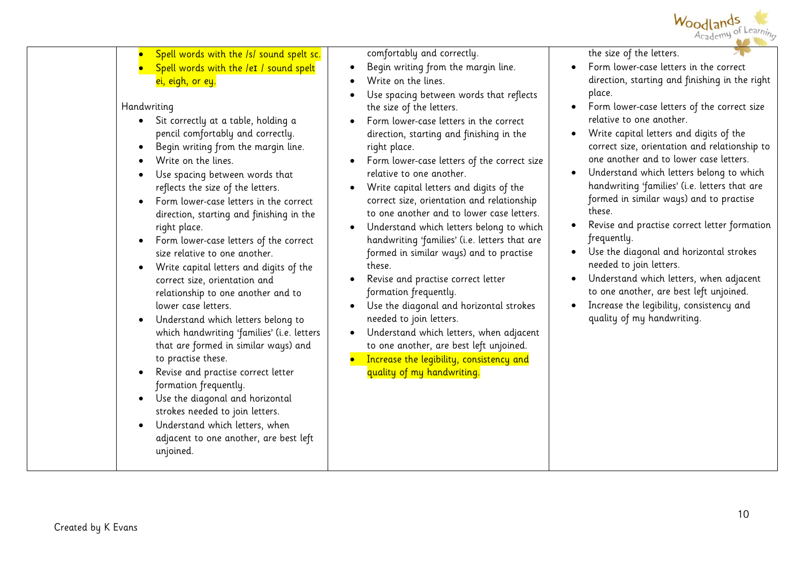

- Spell words with the /s/ sound spelt sc.
- Spell words with the /eI / sound spelt ei, eigh, or ey.

Handwriting

- Sit correctly at a table, holding a pencil comfortably and correctly.
- Begin writing from the margin line.
- Write on the lines.
- Use spacing between words that reflects the size of the letters.
- Form lower-case letters in the correct direction, starting and finishing in the right place.
- Form lower-case letters of the correct size relative to one another.
- Write capital letters and digits of the correct size, orientation and relationship to one another and to lower case letters.
- Understand which letters belong to which handwriting 'families' (i.e. letters that are formed in similar ways) and to practise these.
- Revise and practise correct letter formation frequently.
- Use the diagonal and horizontal strokes needed to join letters.
- Understand which letters, when adjacent to one another, are best left unjoined.

comfortably and correctly.

- Begin writing from the margin line.
- Write on the lines.
- Use spacing between words that reflects the size of the letters.
- Form lower-case letters in the correct direction, starting and finishing in the right place.
- Form lower-case letters of the correct size relative to one another.
- Write capital letters and digits of the correct size, orientation and relationship to one another and to lower case letters.
- Understand which letters belong to which handwriting 'families' (i.e. letters that are formed in similar ways) and to practise these.
- Revise and practise correct letter formation frequently.
- Use the diagonal and horizontal strokes needed to join letters.
- Understand which letters, when adjacent to one another, are best left unjoined.
- Increase the legibility, consistency and quality of my handwriting.

the size of the letters.

- Form lower-case letters in the correct direction, starting and finishing in the right place.
- Form lower-case letters of the correct size relative to one another.
- Write capital letters and digits of the correct size, orientation and relationship to one another and to lower case letters.
- Understand which letters belong to which handwriting 'families' (i.e. letters that are formed in similar ways) and to practise these.
- Revise and practise correct letter formation frequently.
- Use the diagonal and horizontal strokes needed to join letters.
- Understand which letters, when adjacent to one another, are best left unjoined.
- Increase the legibility, consistency and quality of my handwriting.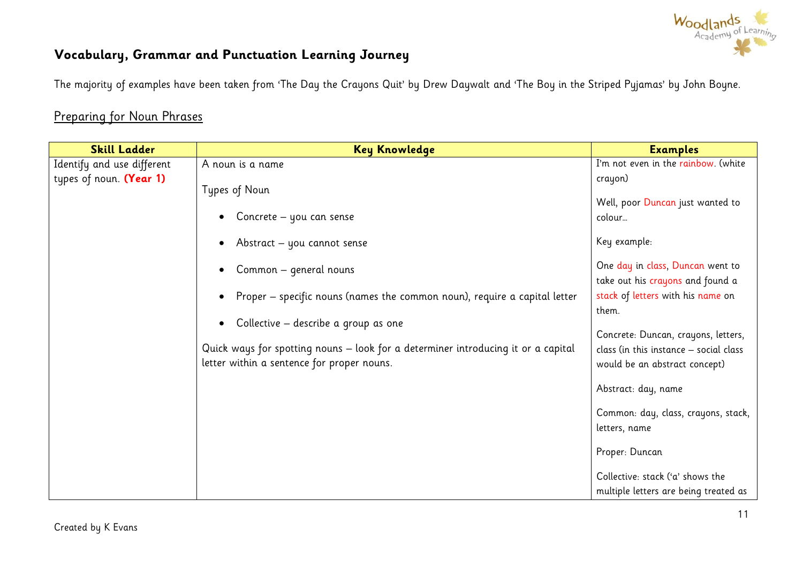

## **Vocabulary, Grammar and Punctuation Learning Journey**

The majority of examples have been taken from 'The Day the Crayons Quit' by Drew Daywalt and 'The Boy in the Striped Pyjamas' by John Boyne.

## Preparing for Noun Phrases

| <b>Skill Ladder</b>        | <b>Key Knowledge</b>                                                              | <b>Examples</b>                        |
|----------------------------|-----------------------------------------------------------------------------------|----------------------------------------|
| Identify and use different | A noun is a name                                                                  | I'm not even in the rainbow. (white    |
| types of noun. (Year 1)    |                                                                                   | crayon)                                |
|                            | Types of Noun                                                                     | Well, poor Duncan just wanted to       |
|                            | Concrete – you can sense                                                          | colour                                 |
|                            |                                                                                   |                                        |
|                            | Abstract – you cannot sense                                                       | Key example:                           |
|                            |                                                                                   | One day in class, Duncan went to       |
|                            | Common – general nouns                                                            | take out his crayons and found a       |
|                            | Proper – specific nouns (names the common noun), require a capital letter         | stack of letters with his name on      |
|                            |                                                                                   | them.                                  |
|                            | Collective - describe a group as one                                              |                                        |
|                            |                                                                                   | Concrete: Duncan, crayons, letters,    |
|                            | Quick ways for spotting nouns - look for a determiner introducing it or a capital | class (in this instance - social class |
|                            | letter within a sentence for proper nouns.                                        | would be an abstract concept)          |
|                            |                                                                                   | Abstract: day, name                    |
|                            |                                                                                   | Common: day, class, crayons, stack,    |
|                            |                                                                                   | letters, name                          |
|                            |                                                                                   |                                        |
|                            |                                                                                   | Proper: Duncan                         |
|                            |                                                                                   | Collective: stack ('a' shows the       |
|                            |                                                                                   | multiple letters are being treated as  |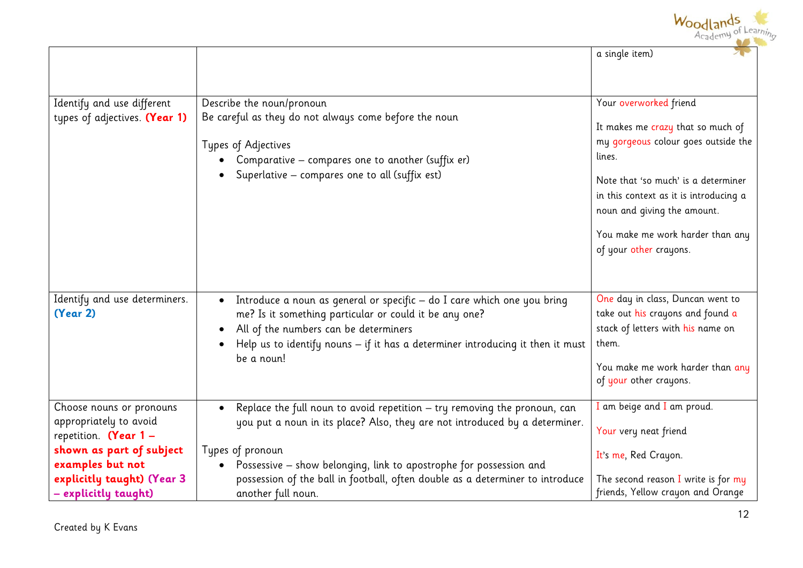

|                                                                                                    |                                                                                                                                                                                                                                                                              | a single item)                                                                                                                                                                                                                                                                             |
|----------------------------------------------------------------------------------------------------|------------------------------------------------------------------------------------------------------------------------------------------------------------------------------------------------------------------------------------------------------------------------------|--------------------------------------------------------------------------------------------------------------------------------------------------------------------------------------------------------------------------------------------------------------------------------------------|
| Identify and use different<br>types of adjectives. (Year 1)                                        | Describe the noun/pronoun<br>Be careful as they do not always come before the noun<br>Types of Adjectives<br>Comparative - compares one to another (suffix er)<br>Superlative - compares one to all (suffix est)                                                             | Your overworked friend<br>It makes me crazy that so much of<br>my gorgeous colour goes outside the<br>lines.<br>Note that 'so much' is a determiner<br>in this context as it is introducing a<br>noun and giving the amount.<br>You make me work harder than any<br>of your other crayons. |
| Identify and use determiners.<br>(Year 2)                                                          | Introduce a noun as general or specific - do I care which one you bring<br>me? Is it something particular or could it be any one?<br>All of the numbers can be determiners<br>Help us to identify nouns $-$ if it has a determiner introducing it then it must<br>be a noun! | One day in class, Duncan went to<br>take out his crayons and found a<br>stack of letters with his name on<br>them.<br>You make me work harder than any<br>of your other crayons.                                                                                                           |
| Choose nouns or pronouns<br>appropriately to avoid<br>repetition. (Year 1 -                        | Replace the full noun to avoid repetition - try removing the pronoun, can<br>you put a noun in its place? Also, they are not introduced by a determiner.                                                                                                                     | I am beige and I am proud.<br>Your very neat friend                                                                                                                                                                                                                                        |
| shown as part of subject<br>examples but not<br>explicitly taught) (Year 3<br>- explicitly taught) | Types of pronoun<br>Possessive - show belonging, link to apostrophe for possession and<br>possession of the ball in football, often double as a determiner to introduce<br>another full noun.                                                                                | It's me, Red Crayon.<br>The second reason $I$ write is for $my$<br>friends, Yellow crayon and Orange                                                                                                                                                                                       |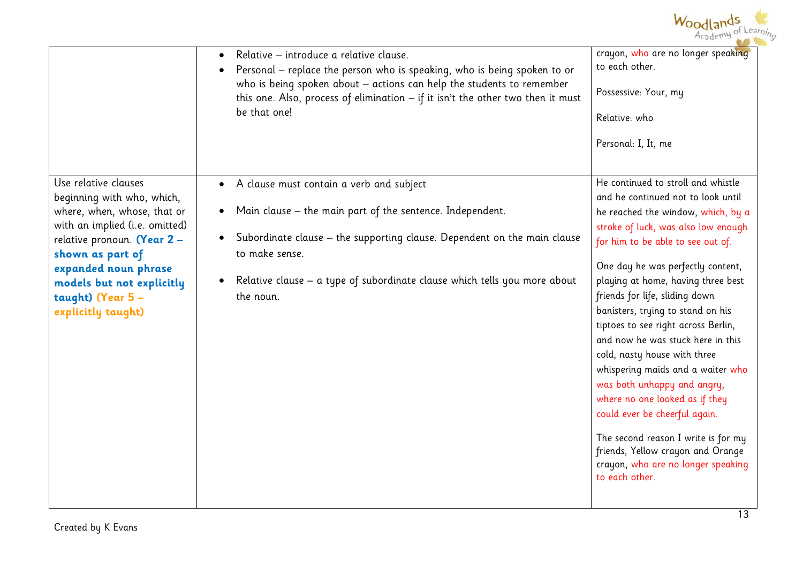

Woodla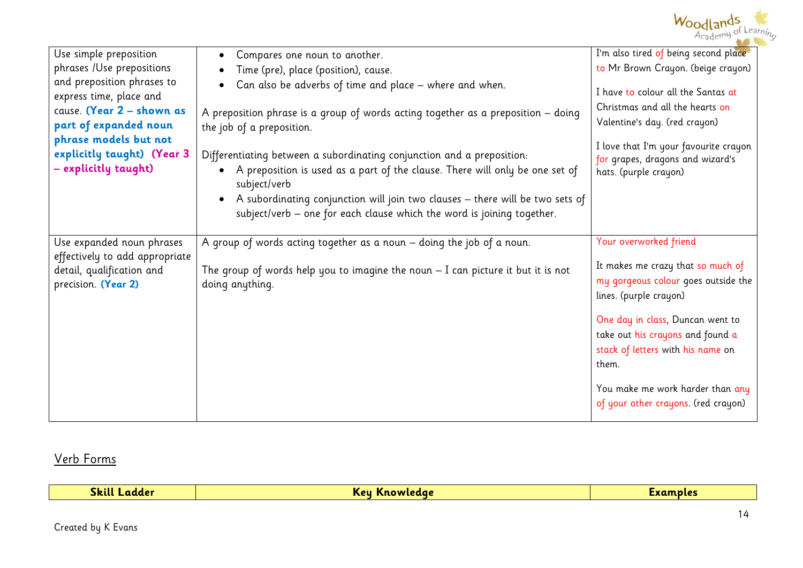

| Use simple preposition                                                             | Compares one noun to another.<br>$\bullet$                                                                                                                             | I'm also tired of being second place                                                                               |
|------------------------------------------------------------------------------------|------------------------------------------------------------------------------------------------------------------------------------------------------------------------|--------------------------------------------------------------------------------------------------------------------|
| phrases /Use prepositions                                                          | Time (pre), place (position), cause.                                                                                                                                   | to Mr Brown Crayon. (beige crayon)                                                                                 |
| and preposition phrases to<br>express time, place and                              | Can also be adverbs of time and place - where and when.                                                                                                                | I have to colour all the Santas at<br>Christmas and all the hearts on                                              |
| cause. (Year 2 - shown as<br>part of expanded noun                                 | A preposition phrase is a group of words acting together as a preposition - doing<br>the job of a preposition.                                                         | Valentine's day. (red crayon)                                                                                      |
| phrase models but not<br>explicitly taught) (Year 3<br>- explicitly taught)        | Differentiating between a subordinating conjunction and a preposition:<br>A preposition is used as a part of the clause. There will only be one set of<br>subject/verb | I love that I'm your favourite crayon<br>for grapes, dragons and wizard's<br>hats. (purple crayon)                 |
|                                                                                    | A subordinating conjunction will join two clauses - there will be two sets of<br>subject/verb - one for each clause which the word is joining together.                |                                                                                                                    |
| Use expanded noun phrases                                                          | A group of words acting together as a noun - doing the job of a noun.                                                                                                  | Your overworked friend                                                                                             |
| effectively to add appropriate<br>detail, qualification and<br>precision. (Year 2) | The group of words help you to imagine the noun $-$ I can picture it but it is not<br>doing anything.                                                                  | It makes me crazy that so much of<br>my gorgeous colour goes outside the<br>lines. (purple crayon)                 |
|                                                                                    |                                                                                                                                                                        | One day in class, Duncan went to<br>take out his crayons and found a<br>stack of letters with his name on<br>them. |
|                                                                                    |                                                                                                                                                                        | You make me work harder than any<br>of your other crayons. (red crayon)                                            |

# Verb Forms

| Уk | п.<br><b>COL</b> |  |
|----|------------------|--|
|    |                  |  |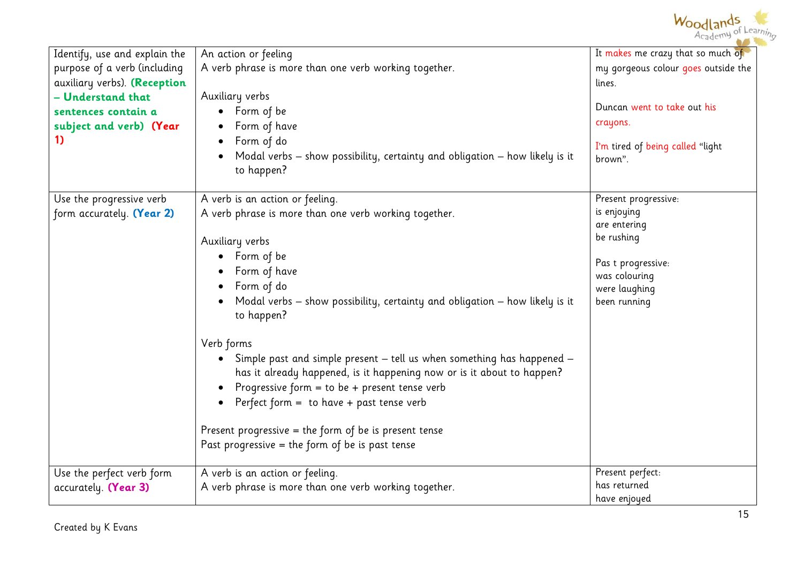

| Identify, use and explain the<br>purpose of a verb (including<br>auxiliary verbs). (Reception<br>- Understand that<br>sentences contain a<br>subject and verb) (Year<br>1) | An action or feeling<br>A verb phrase is more than one verb working together.<br>Auxiliary verbs<br>• Form of be<br>Form of have<br>Form of do<br>Modal verbs - show possibility, certainty and obligation - how likely is it<br>to happen?                                                                                                                                                                                                                                                                                                                                                                                                        | It makes me crazy that so much of<br>my gorgeous colour goes outside the<br>lines.<br>Duncan went to take out his<br>crayons.<br>I'm tired of being called "light<br>brown". |
|----------------------------------------------------------------------------------------------------------------------------------------------------------------------------|----------------------------------------------------------------------------------------------------------------------------------------------------------------------------------------------------------------------------------------------------------------------------------------------------------------------------------------------------------------------------------------------------------------------------------------------------------------------------------------------------------------------------------------------------------------------------------------------------------------------------------------------------|------------------------------------------------------------------------------------------------------------------------------------------------------------------------------|
| Use the progressive verb<br>form accurately. (Year 2)                                                                                                                      | A verb is an action or feeling.<br>A verb phrase is more than one verb working together.<br>Auxiliary verbs<br>Form of be<br>Form of have<br>Form of do<br>Modal verbs - show possibility, certainty and obligation - how likely is it<br>to happen?<br>Verb forms<br>Simple past and simple present - tell us when something has happened -<br>$\bullet$<br>has it already happened, is it happening now or is it about to happen?<br>Progressive form = to be + present tense verb<br>Perfect form $=$ to have + past tense verb<br>Present progressive $=$ the form of be is present tense<br>Past progressive $=$ the form of be is past tense | Present progressive:<br>is enjoying<br>are entering<br>be rushing<br>Pas t progressive:<br>was colouring<br>were laughing<br>been running                                    |
| Use the perfect verb form<br>accurately. (Year 3)                                                                                                                          | A verb is an action or feeling.<br>A verb phrase is more than one verb working together.                                                                                                                                                                                                                                                                                                                                                                                                                                                                                                                                                           | Present perfect:<br>has returned<br>have enjoyed                                                                                                                             |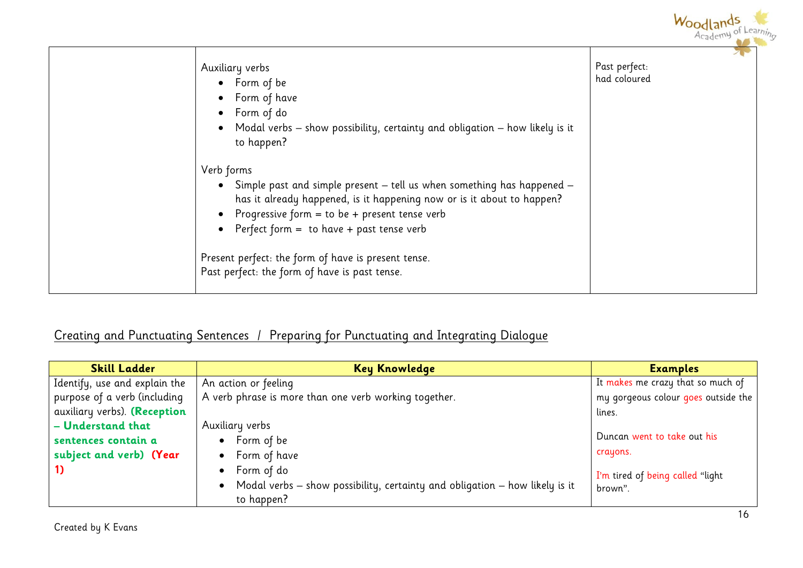|                                                                                                                                                                                                                                                                                                                                                                                                         | Woodland of Lea               |
|---------------------------------------------------------------------------------------------------------------------------------------------------------------------------------------------------------------------------------------------------------------------------------------------------------------------------------------------------------------------------------------------------------|-------------------------------|
| Auxiliary verbs<br>• Form of be<br>Form of have<br>$\bullet$<br>Form of do<br>$\bullet$<br>Modal verbs - show possibility, certainty and obligation - how likely is it<br>to happen?<br>Verb forms<br>Simple past and simple present – tell us when something has happened –<br>has it already happened, is it happening now or is it about to happen?<br>Progressive form = to be + present tense verb | Past perfect:<br>had coloured |
| Perfect form $=$ to have $+$ past tense verb<br>Present perfect: the form of have is present tense.<br>Past perfect: the form of have is past tense.                                                                                                                                                                                                                                                    |                               |

# Creating and Punctuating Sentences / Preparing for Punctuating and Integrating Dialogue

| <b>Skill Ladder</b>           | <b>Key Knowledge</b>                                                        | <b>Examples</b>                     |
|-------------------------------|-----------------------------------------------------------------------------|-------------------------------------|
| Identify, use and explain the | An action or feeling                                                        | It makes me crazy that so much of   |
| purpose of a verb (including  | A verb phrase is more than one verb working together.                       | my gorgeous colour goes outside the |
| auxiliary verbs). (Reception  |                                                                             | lines.                              |
| - Understand that             | Auxiliary verbs                                                             |                                     |
| sentences contain a           | Form of be<br>$\bullet$                                                     | Duncan went to take out his         |
| subject and verb) (Year       | Form of have                                                                | crayons.                            |
| 1)                            | Form of do                                                                  | I'm tired of being called "light    |
|                               | Modal verbs – show possibility, certainty and obligation – how likely is it | brown".                             |
|                               | to happen?                                                                  |                                     |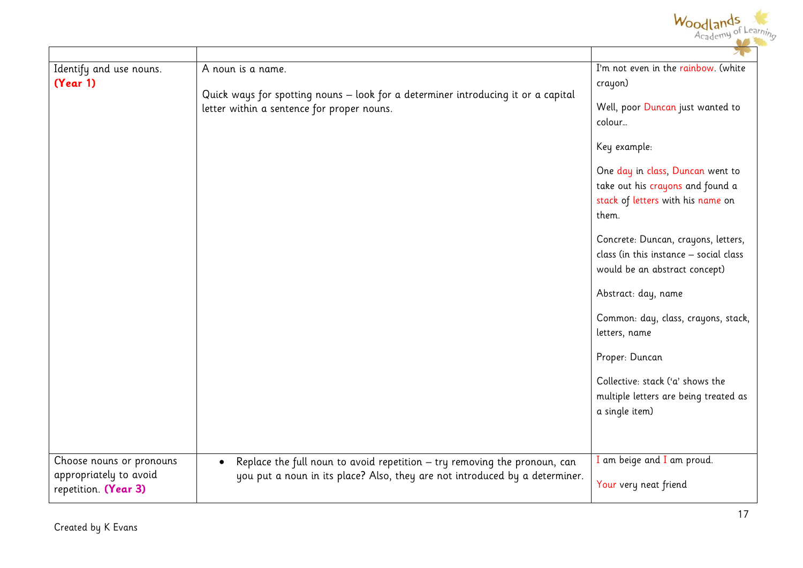

| Identify and use nouns.<br>(Year 1)                                        | A noun is a name.<br>Quick ways for spotting nouns - look for a determiner introducing it or a capital<br>letter within a sentence for proper nouns.                  | I'm not even in the rainbow. (white<br>crayon)<br>Well, poor Duncan just wanted to<br>colour                       |
|----------------------------------------------------------------------------|-----------------------------------------------------------------------------------------------------------------------------------------------------------------------|--------------------------------------------------------------------------------------------------------------------|
|                                                                            |                                                                                                                                                                       | Key example:                                                                                                       |
|                                                                            |                                                                                                                                                                       | One day in class, Duncan went to<br>take out his crayons and found a<br>stack of letters with his name on<br>them. |
|                                                                            |                                                                                                                                                                       | Concrete: Duncan, crayons, letters,<br>class (in this instance - social class<br>would be an abstract concept)     |
|                                                                            |                                                                                                                                                                       | Abstract: day, name                                                                                                |
|                                                                            |                                                                                                                                                                       | Common: day, class, crayons, stack,<br>letters, name                                                               |
|                                                                            |                                                                                                                                                                       | Proper: Duncan                                                                                                     |
|                                                                            |                                                                                                                                                                       | Collective: stack ('a' shows the<br>multiple letters are being treated as<br>a single item)                        |
| Choose nouns or pronouns<br>appropriately to avoid<br>repetition. (Year 3) | Replace the full noun to avoid repetition - try removing the pronoun, can<br>$\bullet$<br>you put a noun in its place? Also, they are not introduced by a determiner. | am beige and I am proud.<br>Your very neat friend                                                                  |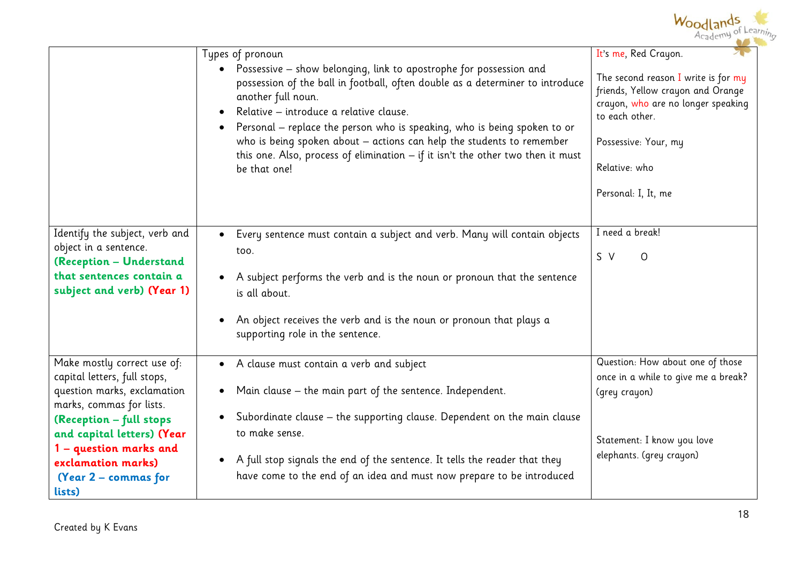|                                                                                                                                                                                                                                                                   |                                                                                                                                                                                                                                                                                                                                                                                                                                                                                                    | <i>cademy</i>                                                                                                                                                                                                                |
|-------------------------------------------------------------------------------------------------------------------------------------------------------------------------------------------------------------------------------------------------------------------|----------------------------------------------------------------------------------------------------------------------------------------------------------------------------------------------------------------------------------------------------------------------------------------------------------------------------------------------------------------------------------------------------------------------------------------------------------------------------------------------------|------------------------------------------------------------------------------------------------------------------------------------------------------------------------------------------------------------------------------|
|                                                                                                                                                                                                                                                                   | Types of pronoun<br>Possessive - show belonging, link to apostrophe for possession and<br>possession of the ball in football, often double as a determiner to introduce<br>another full noun.<br>Relative - introduce a relative clause.<br>Personal - replace the person who is speaking, who is being spoken to or<br>who is being spoken about - actions can help the students to remember<br>this one. Also, process of elimination $-$ if it isn't the other two then it must<br>be that one! | It's me, Red Crayon.<br>The second reason $I$ write is for $my$<br>friends, Yellow crayon and Orange<br>crayon, who are no longer speaking<br>to each other.<br>Possessive: Your, my<br>Relative: who<br>Personal: I, It, me |
| Identify the subject, verb and<br>object in a sentence.<br>(Reception - Understand<br>that sentences contain a<br>subject and verb) (Year 1)                                                                                                                      | Every sentence must contain a subject and verb. Many will contain objects<br>too.<br>A subject performs the verb and is the noun or pronoun that the sentence<br>is all about.<br>An object receives the verb and is the noun or pronoun that plays a<br>supporting role in the sentence.                                                                                                                                                                                                          | I need a break!<br>S V<br>$\circ$                                                                                                                                                                                            |
| Make mostly correct use of:<br>capital letters, full stops,<br>question marks, exclamation<br>marks, commas for lists.<br>(Reception - full stops<br>and capital letters) (Year<br>1 - question marks and<br>exclamation marks)<br>(Year 2 – commas for<br>lists) | A clause must contain a verb and subject<br>Main clause – the main part of the sentence. Independent.<br>Subordinate clause - the supporting clause. Dependent on the main clause<br>to make sense.<br>A full stop signals the end of the sentence. It tells the reader that they<br>have come to the end of an idea and must now prepare to be introduced                                                                                                                                         | Question: How about one of those<br>once in a while to give me a break?<br>(grey crayon)<br>Statement: I know you love<br>elephants. (grey crayon)                                                                           |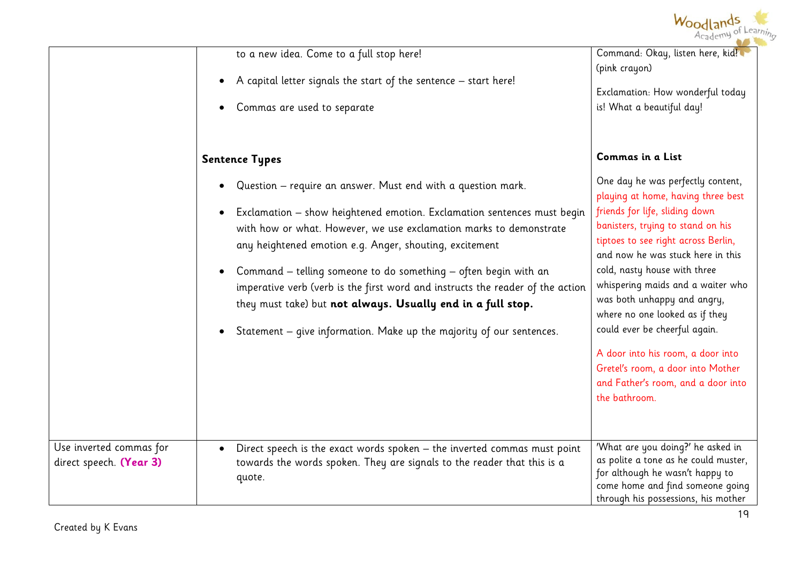|                                                    | to a new idea. Come to a full stop here!<br>A capital letter signals the start of the sentence - start here!<br>Commas are used to separate                                                                                                                                                                                                                                                                                                                                                                                                                          | Command: Okay, listen here, kid!<br>(pink crayon)<br>Exclamation: How wonderful today<br>is! What a beautiful day!                                                                                                                                                                                                                                                                                                                                                                                                                 |
|----------------------------------------------------|----------------------------------------------------------------------------------------------------------------------------------------------------------------------------------------------------------------------------------------------------------------------------------------------------------------------------------------------------------------------------------------------------------------------------------------------------------------------------------------------------------------------------------------------------------------------|------------------------------------------------------------------------------------------------------------------------------------------------------------------------------------------------------------------------------------------------------------------------------------------------------------------------------------------------------------------------------------------------------------------------------------------------------------------------------------------------------------------------------------|
|                                                    | <b>Sentence Types</b>                                                                                                                                                                                                                                                                                                                                                                                                                                                                                                                                                | Commas in a List                                                                                                                                                                                                                                                                                                                                                                                                                                                                                                                   |
|                                                    | Question – require an answer. Must end with a question mark.<br>Exclamation - show heightened emotion. Exclamation sentences must begin<br>with how or what. However, we use exclamation marks to demonstrate<br>any heightened emotion e.g. Anger, shouting, excitement<br>Command – telling someone to do something – often begin with an<br>imperative verb (verb is the first word and instructs the reader of the action<br>they must take) but not always. Usually end in a full stop.<br>Statement – give information. Make up the majority of our sentences. | One day he was perfectly content,<br>playing at home, having three best<br>friends for life, sliding down<br>banisters, trying to stand on his<br>tiptoes to see right across Berlin,<br>and now he was stuck here in this<br>cold, nasty house with three<br>whispering maids and a waiter who<br>was both unhappy and angry,<br>where no one looked as if they<br>could ever be cheerful again.<br>A door into his room, a door into<br>Gretel's room, a door into Mother<br>and Father's room, and a door into<br>the bathroom. |
| Use inverted commas for<br>direct speech. (Year 3) | Direct speech is the exact words spoken - the inverted commas must point<br>towards the words spoken. They are signals to the reader that this is a<br>quote.                                                                                                                                                                                                                                                                                                                                                                                                        | 'What are you doing?' he asked in<br>as polite a tone as he could muster,<br>for although he wasn't happy to<br>come home and find someone going<br>through his possessions, his mother                                                                                                                                                                                                                                                                                                                                            |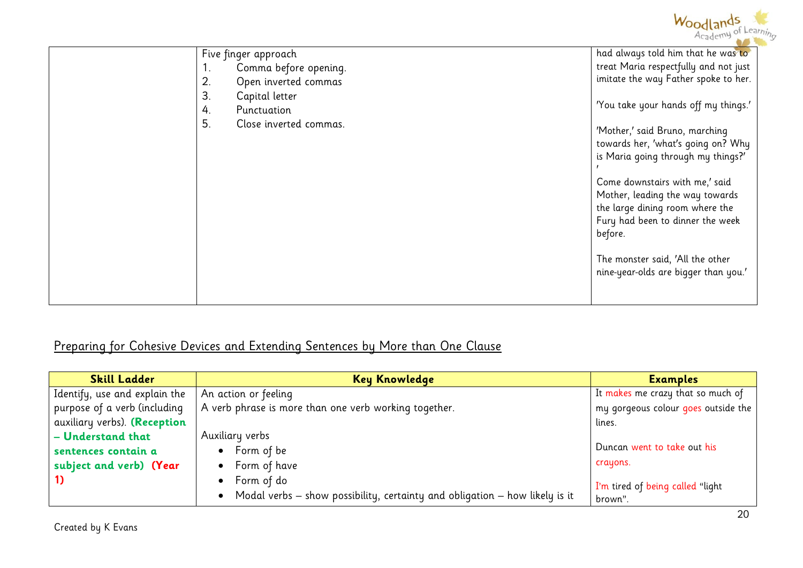

| Five finger approach                      | had always told him that he was to                                                                                                                  |
|-------------------------------------------|-----------------------------------------------------------------------------------------------------------------------------------------------------|
| Comma before opening.                     | treat Maria respectfully and not just                                                                                                               |
| Open inverted commas<br>$\overline{2}$    | imitate the way Father spoke to her.                                                                                                                |
| 3.<br>Capital letter<br>Punctuation<br>4. | 'You take your hands off my things.'                                                                                                                |
| 5.<br>Close inverted commas.              | 'Mother,' said Bruno, marching<br>towards her, 'what's going on? Why<br>is Maria going through my things?'                                          |
|                                           | Come downstairs with me,' said<br>Mother, leading the way towards<br>the large dining room where the<br>Fury had been to dinner the week<br>before. |
|                                           | The monster said, 'All the other<br>nine-year-olds are bigger than you.'                                                                            |
|                                           |                                                                                                                                                     |

# Preparing for Cohesive Devices and Extending Sentences by More than One Clause

| <b>Skill Ladder</b>           | <b>Key Knowledge</b>                                                                      | <b>Examples</b>                              |
|-------------------------------|-------------------------------------------------------------------------------------------|----------------------------------------------|
| Identify, use and explain the | An action or feeling                                                                      | It makes me crazy that so much of            |
| purpose of a verb (including  | A verb phrase is more than one verb working together.                                     | my gorgeous colour goes outside the          |
| auxiliary verbs). (Reception  |                                                                                           | lines.                                       |
| - Understand that             | Auxiliary verbs                                                                           |                                              |
| sentences contain a           | Form of be<br>$\bullet$                                                                   | Duncan went to take out his                  |
| subject and verb) (Year       | • Form of have                                                                            | crayons.                                     |
|                               | Form of do<br>Modal verbs – show possibility, certainty and obligation – how likely is it | I'm tired of being called "light"<br>brown". |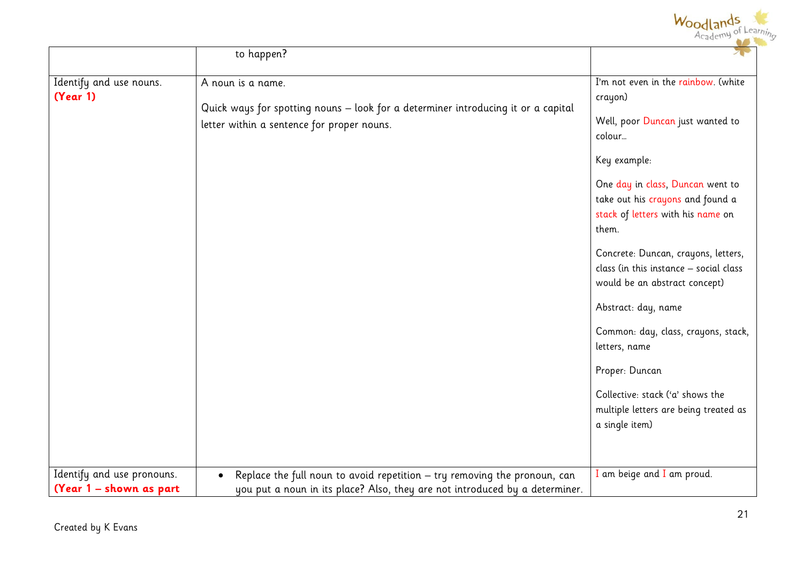

|                                                       | to happen?                                                                                                                                               |                                                                                                                                                                                                                                                                                                                                                                                                                                                                                                                                                      |
|-------------------------------------------------------|----------------------------------------------------------------------------------------------------------------------------------------------------------|------------------------------------------------------------------------------------------------------------------------------------------------------------------------------------------------------------------------------------------------------------------------------------------------------------------------------------------------------------------------------------------------------------------------------------------------------------------------------------------------------------------------------------------------------|
| Identify and use nouns.<br>(Year 1)                   | A noun is a name.<br>Quick ways for spotting nouns - look for a determiner introducing it or a capital<br>letter within a sentence for proper nouns.     | I'm not even in the rainbow. (white<br>crayon)<br>Well, poor Duncan just wanted to<br>colour<br>Key example:<br>One day in class, Duncan went to<br>take out his crayons and found a<br>stack of letters with his name on<br>them.<br>Concrete: Duncan, crayons, letters,<br>class (in this instance - social class<br>would be an abstract concept)<br>Abstract: day, name<br>Common: day, class, crayons, stack,<br>letters, name<br>Proper: Duncan<br>Collective: stack ('a' shows the<br>multiple letters are being treated as<br>a single item) |
| Identify and use pronouns.<br>(Year 1 - shown as part | Replace the full noun to avoid repetition - try removing the pronoun, can<br>you put a noun in its place? Also, they are not introduced by a determiner. | am beige and $I$ am proud.                                                                                                                                                                                                                                                                                                                                                                                                                                                                                                                           |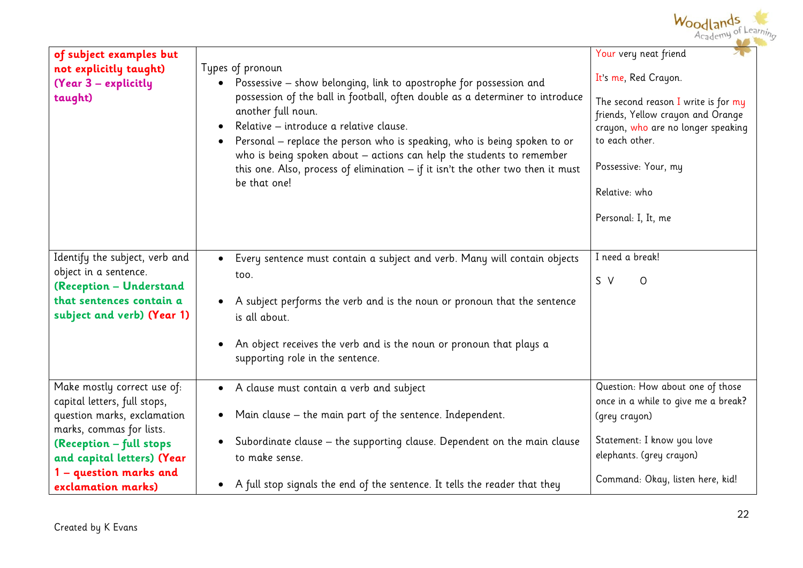|                                                                                                                                                                                                                                 |                                                                                                                                                                                                                                                                                                                                                                                                                                                                                                                                | Woodlands<br>Academy of Learning                                                                                                                                                                                                                      |
|---------------------------------------------------------------------------------------------------------------------------------------------------------------------------------------------------------------------------------|--------------------------------------------------------------------------------------------------------------------------------------------------------------------------------------------------------------------------------------------------------------------------------------------------------------------------------------------------------------------------------------------------------------------------------------------------------------------------------------------------------------------------------|-------------------------------------------------------------------------------------------------------------------------------------------------------------------------------------------------------------------------------------------------------|
| of subject examples but<br>not explicitly taught)<br>(Year 3 - explicitly<br>taught)                                                                                                                                            | Types of pronoun<br>• Possessive – show belonging, link to apostrophe for possession and<br>possession of the ball in football, often double as a determiner to introduce<br>another full noun.<br>Relative - introduce a relative clause.<br>$\bullet$<br>Personal - replace the person who is speaking, who is being spoken to or<br>$\bullet$<br>who is being spoken about - actions can help the students to remember<br>this one. Also, process of elimination $-$ if it isn't the other two then it must<br>be that one! | Your very neat friend<br>It's me, Red Crayon.<br>The second reason $I$ write is for $my$<br>friends, Yellow crayon and Orange<br>crayon, who are no longer speaking<br>to each other.<br>Possessive: Your, my<br>Relative: who<br>Personal: I, It, me |
| Identify the subject, verb and<br>object in a sentence.<br>(Reception - Understand<br>that sentences contain a<br>subject and verb) (Year 1)                                                                                    | Every sentence must contain a subject and verb. Many will contain objects<br>$\bullet$<br>too.<br>A subject performs the verb and is the noun or pronoun that the sentence<br>$\bullet$<br>is all about.<br>An object receives the verb and is the noun or pronoun that plays a<br>$\bullet$<br>supporting role in the sentence.                                                                                                                                                                                               | I need a break!<br>S V<br>$\circ$                                                                                                                                                                                                                     |
| Make mostly correct use of:<br>capital letters, full stops,<br>question marks, exclamation<br>marks, commas for lists.<br>(Reception - full stops<br>and capital letters) (Year<br>1 - question marks and<br>exclamation marks) | A clause must contain a verb and subject<br>$\bullet$<br>Main clause – the main part of the sentence. Independent.<br>$\bullet$<br>Subordinate clause – the supporting clause. Dependent on the main clause<br>$\bullet$<br>to make sense.<br>• A full stop signals the end of the sentence. It tells the reader that they                                                                                                                                                                                                     | Question: How about one of those<br>once in a while to give me a break?<br>(grey crayon)<br>Statement: I know you love<br>elephants. (grey crayon)<br>Command: Okay, listen here, kid!                                                                |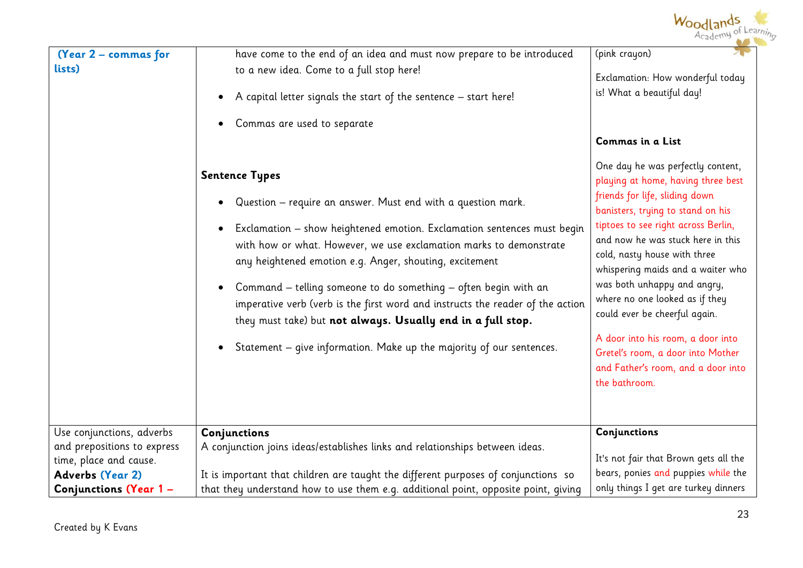|                                                                                                                                         |                                                                                                                                                                                                                                                                                                                                                                                                                                                                                                                                                                                                                                                   | Woodlands<br>Academy of Learning                                                                                                                                                                                                                                                                                                                                                                                                                                                                                                   |
|-----------------------------------------------------------------------------------------------------------------------------------------|---------------------------------------------------------------------------------------------------------------------------------------------------------------------------------------------------------------------------------------------------------------------------------------------------------------------------------------------------------------------------------------------------------------------------------------------------------------------------------------------------------------------------------------------------------------------------------------------------------------------------------------------------|------------------------------------------------------------------------------------------------------------------------------------------------------------------------------------------------------------------------------------------------------------------------------------------------------------------------------------------------------------------------------------------------------------------------------------------------------------------------------------------------------------------------------------|
| (Year 2 - commas for<br>lists)                                                                                                          | have come to the end of an idea and must now prepare to be introduced<br>to a new idea. Come to a full stop here!<br>A capital letter signals the start of the sentence - start here!<br>$\bullet$                                                                                                                                                                                                                                                                                                                                                                                                                                                | (pink crayon)<br>Exclamation: How wonderful today<br>is! What a beautiful day!                                                                                                                                                                                                                                                                                                                                                                                                                                                     |
|                                                                                                                                         | Commas are used to separate<br>$\bullet$                                                                                                                                                                                                                                                                                                                                                                                                                                                                                                                                                                                                          | Commas in a List                                                                                                                                                                                                                                                                                                                                                                                                                                                                                                                   |
|                                                                                                                                         | <b>Sentence Types</b><br>Question - require an answer. Must end with a question mark.<br>$\bullet$<br>Exclamation - show heightened emotion. Exclamation sentences must begin<br>$\bullet$<br>with how or what. However, we use exclamation marks to demonstrate<br>any heightened emotion e.g. Anger, shouting, excitement<br>Command – telling someone to do something – often begin with an<br>$\bullet$<br>imperative verb (verb is the first word and instructs the reader of the action<br>they must take) but not always. Usually end in a full stop.<br>Statement - give information. Make up the majority of our sentences.<br>$\bullet$ | One day he was perfectly content,<br>playing at home, having three best<br>friends for life, sliding down<br>banisters, trying to stand on his<br>tiptoes to see right across Berlin,<br>and now he was stuck here in this<br>cold, nasty house with three<br>whispering maids and a waiter who<br>was both unhappy and angry,<br>where no one looked as if they<br>could ever be cheerful again.<br>A door into his room, a door into<br>Gretel's room, a door into Mother<br>and Father's room, and a door into<br>the bathroom. |
| Use conjunctions, adverbs<br>and prepositions to express<br>time, place and cause.<br><b>Adverbs (Year 2)</b><br>Conjunctions (Year 1 - | Conjunctions<br>A conjunction joins ideas/establishes links and relationships between ideas.<br>It is important that children are taught the different purposes of conjunctions so<br>that they understand how to use them e.g. additional point, opposite point, giving                                                                                                                                                                                                                                                                                                                                                                          | Conjunctions<br>It's not fair that Brown gets all the<br>bears, ponies and puppies while the<br>only things I get are turkey dinners                                                                                                                                                                                                                                                                                                                                                                                               |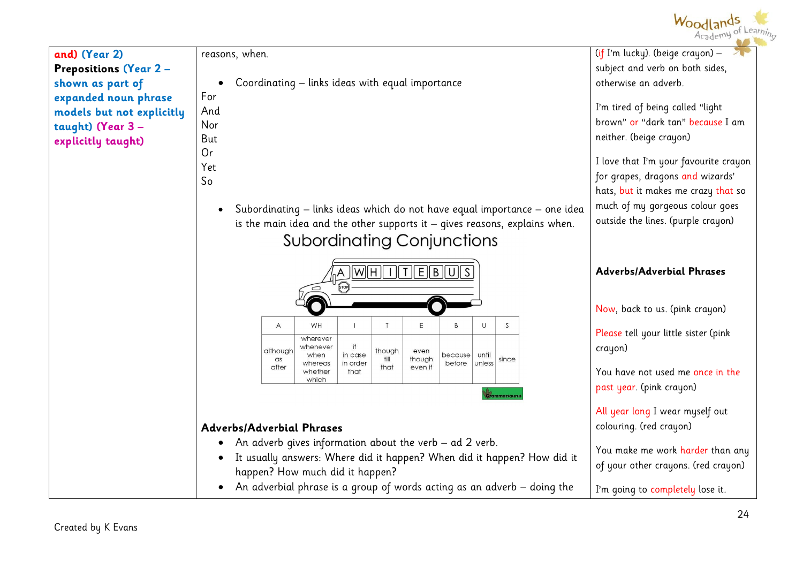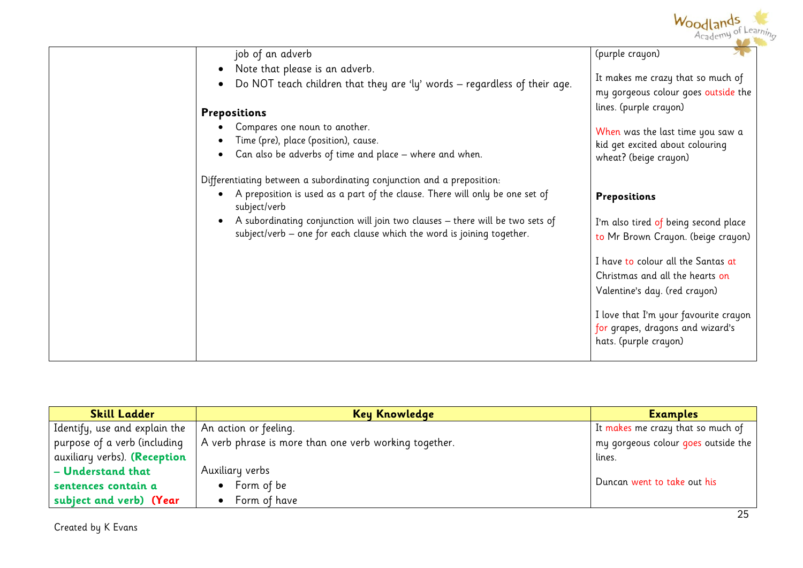|                                                                                                                                                                                                                                                                                                                                   | Woodlands                                                                                                                                                                 |
|-----------------------------------------------------------------------------------------------------------------------------------------------------------------------------------------------------------------------------------------------------------------------------------------------------------------------------------|---------------------------------------------------------------------------------------------------------------------------------------------------------------------------|
| job of an adverb                                                                                                                                                                                                                                                                                                                  | (purple crayon)                                                                                                                                                           |
| Note that please is an adverb.<br>Do NOT teach children that they are 'ly' words - regardless of their age.<br><b>Prepositions</b><br>Compares one noun to another.<br>Time (pre), place (position), cause.<br>Can also be adverbs of time and place - where and when.                                                            | It makes me crazy that so much of<br>my gorgeous colour goes outside the<br>lines. (purple crayon)<br>When was the last time you saw a<br>kid get excited about colouring |
| Differentiating between a subordinating conjunction and a preposition:<br>A preposition is used as a part of the clause. There will only be one set of<br>subject/verb<br>A subordinating conjunction will join two clauses - there will be two sets of<br>subject/verb - one for each clause which the word is joining together. | wheat? (beige crayon)<br><b>Prepositions</b><br>I'm also tired of being second place<br>to Mr Brown Crayon. (beige crayon)                                                |
|                                                                                                                                                                                                                                                                                                                                   | I have to colour all the Santas at<br>Christmas and all the hearts on<br>Valentine's day. (red crayon)                                                                    |
|                                                                                                                                                                                                                                                                                                                                   | I love that I'm your favourite crayon<br>for grapes, dragons and wizard's<br>hats. (purple crayon)                                                                        |

| <b>Skill Ladder</b>           | <b>Key Knowledge</b>                                  | <b>Examples</b>                     |
|-------------------------------|-------------------------------------------------------|-------------------------------------|
| Identify, use and explain the | An action or feeling.                                 | It makes me crazy that so much of   |
| purpose of a verb (including  | A verb phrase is more than one verb working together. | my gorgeous colour goes outside the |
| auxiliary verbs). (Reception  |                                                       | lines.                              |
| - Understand that             | Auxiliary verbs                                       |                                     |
| sentences contain a           | Form of be                                            | Duncan went to take out his         |
| subject and verb) (Year       | Form of have                                          |                                     |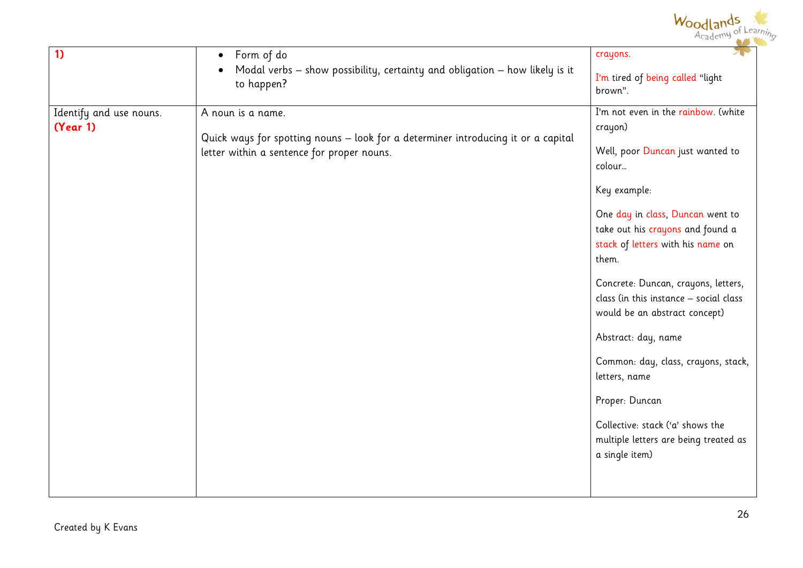|                                     |                                                                                                                                                      | Woodlands<br>Academy                                                                                                                                                                                                                                                                                                                                                                                                                                                                                                                                 |
|-------------------------------------|------------------------------------------------------------------------------------------------------------------------------------------------------|------------------------------------------------------------------------------------------------------------------------------------------------------------------------------------------------------------------------------------------------------------------------------------------------------------------------------------------------------------------------------------------------------------------------------------------------------------------------------------------------------------------------------------------------------|
| $\overline{1}$                      | Form of do<br>$\bullet$<br>Modal verbs - show possibility, certainty and obligation - how likely is it<br>$\bullet$<br>to happen?                    | crayons.<br>I'm tired of being called "light<br>brown".                                                                                                                                                                                                                                                                                                                                                                                                                                                                                              |
| Identify and use nouns.<br>(Year 1) | A noun is a name.<br>Quick ways for spotting nouns - look for a determiner introducing it or a capital<br>letter within a sentence for proper nouns. | I'm not even in the rainbow. (white<br>crayon)<br>Well, poor Duncan just wanted to<br>colour<br>Key example:<br>One day in class, Duncan went to<br>take out his crayons and found a<br>stack of letters with his name on<br>them.<br>Concrete: Duncan, crayons, letters,<br>class (in this instance - social class<br>would be an abstract concept)<br>Abstract: day, name<br>Common: day, class, crayons, stack,<br>letters, name<br>Proper: Duncan<br>Collective: stack ('a' shows the<br>multiple letters are being treated as<br>a single item) |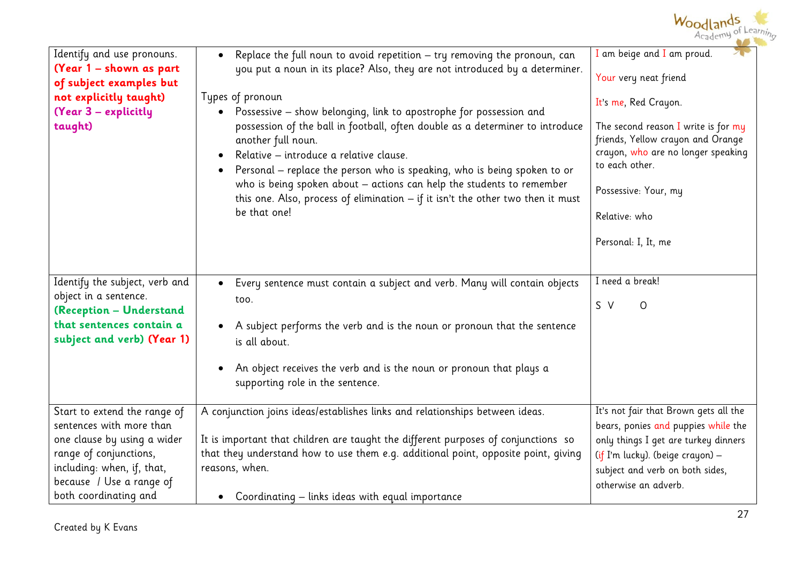

Woodlar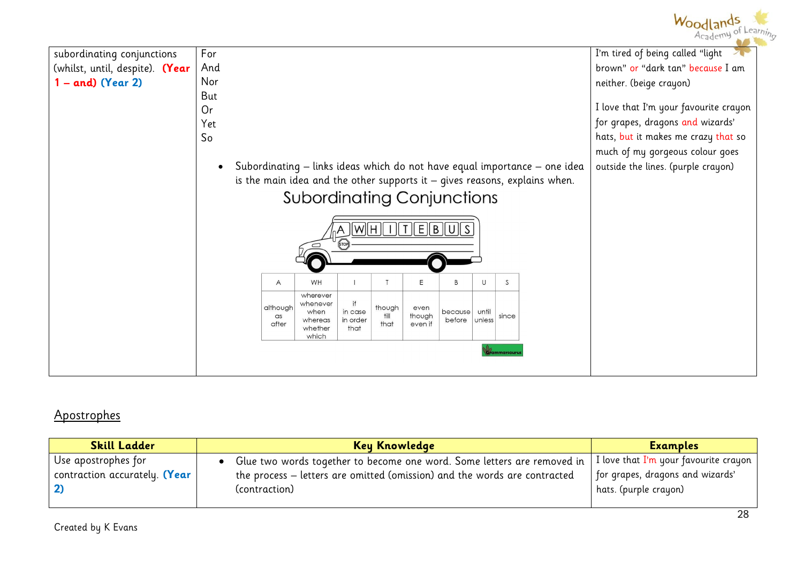

### Apostrophes

| <b>Skill Ladder</b>                   | <b>Key Knowledge</b>                                                                                                 | <b>Examples</b>                  |
|---------------------------------------|----------------------------------------------------------------------------------------------------------------------|----------------------------------|
| Use apostrophes for                   | Glue two words together to become one word. Some letters are removed in $\mid$ I love that I'm your favourite crayon |                                  |
| contraction accurately. (Year $\vert$ | the process – letters are omitted (omission) and the words are contracted                                            | for grapes, dragons and wizards' |
| $\mathbf{2}$                          | (contraction)                                                                                                        | hats. (purple crayon)            |
|                                       |                                                                                                                      |                                  |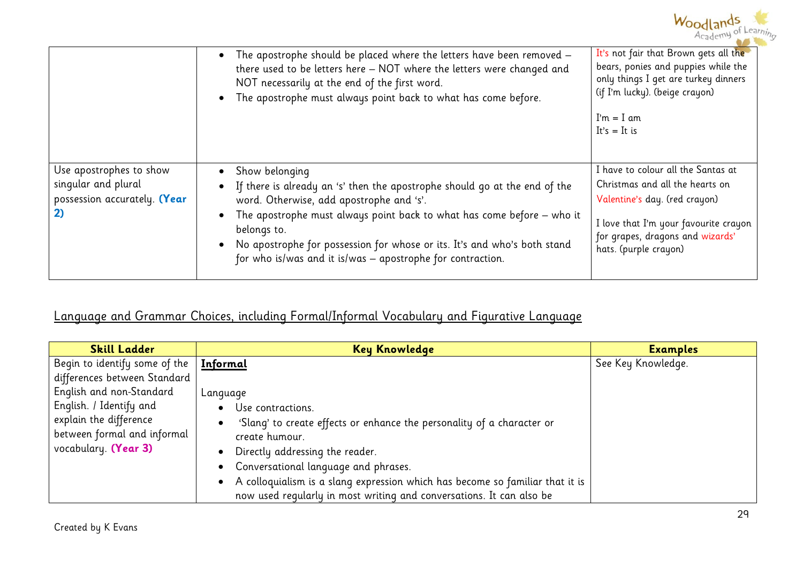

|                                                                                | The apostrophe should be placed where the letters have been removed $-$<br>there used to be letters here - NOT where the letters were changed and<br>NOT necessarily at the end of the first word.<br>The apostrophe must always point back to what has come before.                                                                                                            | It's not fair that Brown gets all the<br>bears, ponies and puppies while the<br>only things I get are turkey dinners<br>(if I'm lucky). (beige crayon)<br>$\Gamma$ m = I am<br>It's = It is                  |
|--------------------------------------------------------------------------------|---------------------------------------------------------------------------------------------------------------------------------------------------------------------------------------------------------------------------------------------------------------------------------------------------------------------------------------------------------------------------------|--------------------------------------------------------------------------------------------------------------------------------------------------------------------------------------------------------------|
| Use apostrophes to show<br>singular and plural<br>possession accurately. (Year | • Show belonging<br>If there is already an 's' then the apostrophe should go at the end of the<br>word. Otherwise, add apostrophe and 's'.<br>The apostrophe must always point back to what has come before $-$ who it<br>belongs to.<br>No apostrophe for possession for whose or its. It's and who's both stand<br>for who is/was and it is/was - apostrophe for contraction. | I have to colour all the Santas at<br>Christmas and all the hearts on<br>Valentine's day. (red crayon)<br>I love that I'm your favourite crayon<br>for grapes, dragons and wizards'<br>hats. (purple crayon) |

# Language and Grammar Choices, including Formal/Informal Vocabulary and Figurative Language

| <b>Skill Ladder</b>           | <b>Key Knowledge</b>                                                          | <b>Examples</b>    |
|-------------------------------|-------------------------------------------------------------------------------|--------------------|
| Begin to identify some of the | Informal                                                                      | See Key Knowledge. |
| differences between Standard  |                                                                               |                    |
| English and non-Standard      | Language                                                                      |                    |
| English. / Identify and       | Use contractions.                                                             |                    |
| explain the difference        | 'Slang' to create effects or enhance the personality of a character or<br>٠   |                    |
| between formal and informal   | create humour.                                                                |                    |
| vocabulary. (Year 3)          | Directly addressing the reader.                                               |                    |
|                               | Conversational language and phrases.                                          |                    |
|                               | A colloquialism is a slang expression which has become so familiar that it is |                    |
|                               | now used regularly in most writing and conversations. It can also be          |                    |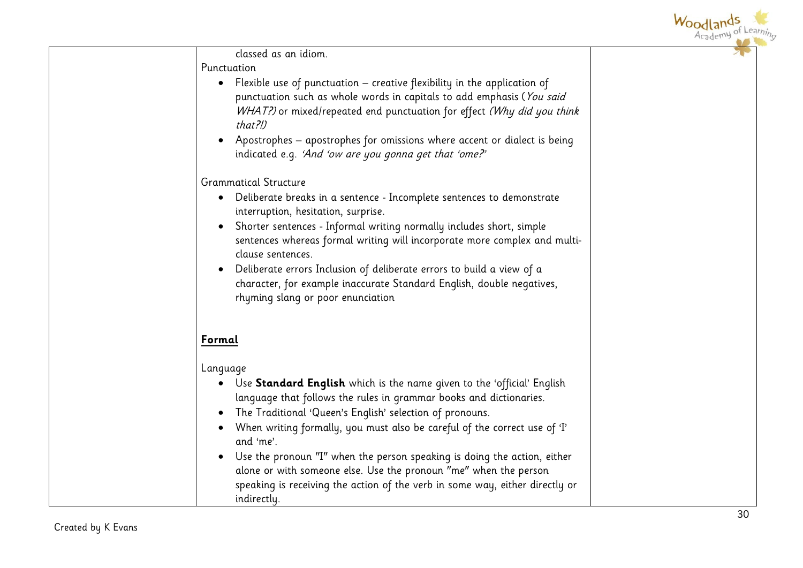

|           | classed as an idiom.                                                                                                                                                                                                                     |  |
|-----------|------------------------------------------------------------------------------------------------------------------------------------------------------------------------------------------------------------------------------------------|--|
|           | Punctuation                                                                                                                                                                                                                              |  |
|           | • Flexible use of punctuation - creative flexibility in the application of<br>punctuation such as whole words in capitals to add emphasis (You said<br>WHAT?) or mixed/repeated end punctuation for effect (Why did you think<br>that?!) |  |
|           | Apostrophes – apostrophes for omissions where accent or dialect is being<br>indicated e.g. 'And 'ow are you gonna get that 'ome?'                                                                                                        |  |
|           | <b>Grammatical Structure</b>                                                                                                                                                                                                             |  |
|           | Deliberate breaks in a sentence - Incomplete sentences to demonstrate<br>interruption, hesitation, surprise.                                                                                                                             |  |
|           | Shorter sentences - Informal writing normally includes short, simple<br>sentences whereas formal writing will incorporate more complex and multi-<br>clause sentences.                                                                   |  |
| $\bullet$ | Deliberate errors Inclusion of deliberate errors to build a view of a<br>character, for example inaccurate Standard English, double negatives,<br>rhyming slang or poor enunciation                                                      |  |
| Formal    |                                                                                                                                                                                                                                          |  |
| Language  |                                                                                                                                                                                                                                          |  |
|           | Use <b>Standard English</b> which is the name given to the 'official' English<br>language that follows the rules in grammar books and dictionaries.                                                                                      |  |
|           | The Traditional 'Queen's English' selection of pronouns.                                                                                                                                                                                 |  |
|           | When writing formally, you must also be careful of the correct use of $T$<br>and 'me'.                                                                                                                                                   |  |
|           | Use the pronoun "I" when the person speaking is doing the action, either<br>alone or with someone else. Use the pronoun "me" when the person                                                                                             |  |
|           | speaking is receiving the action of the verb in some way, either directly or<br>indirectly.                                                                                                                                              |  |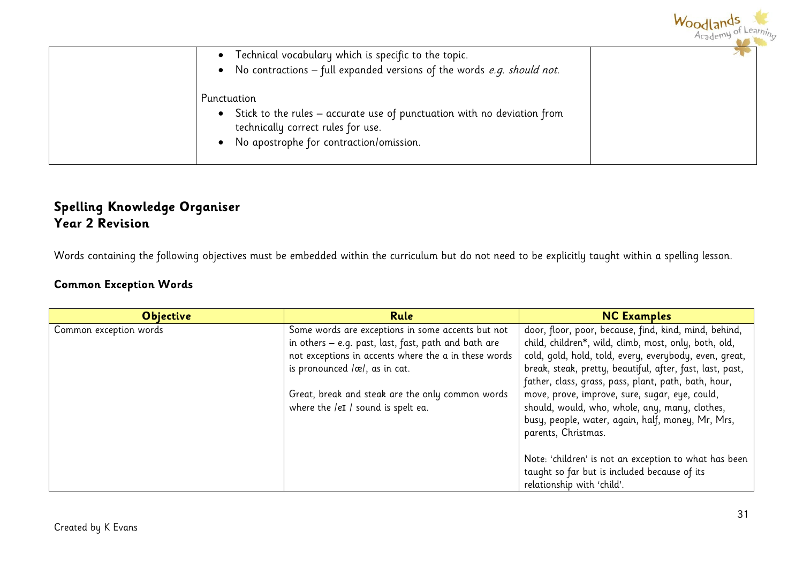|                        |                                                                                                                                                          | Academy of Learning |
|------------------------|----------------------------------------------------------------------------------------------------------------------------------------------------------|---------------------|
|                        | Technical vocabulary which is specific to the topic.                                                                                                     |                     |
| $\bullet$              | No contractions – full expanded versions of the words e.g. should not.                                                                                   |                     |
| Punctuation            |                                                                                                                                                          |                     |
| $\bullet$<br>$\bullet$ | Stick to the rules - accurate use of punctuation with no deviation from<br>technically correct rules for use.<br>No apostrophe for contraction/omission. |                     |

### **Spelling Knowledge Organiser Year 2 Revision**

Words containing the following objectives must be embedded within the curriculum but do not need to be explicitly taught within a spelling lesson.

#### **Common Exception Words**

| <b>Objective</b>       | Rule                                                 | <b>NC Examples</b>                                        |
|------------------------|------------------------------------------------------|-----------------------------------------------------------|
| Common exception words | Some words are exceptions in some accents but not    | door, floor, poor, because, find, kind, mind, behind,     |
|                        | in others – e.g. past, last, fast, path and bath are | child, children*, wild, climb, most, only, both, old,     |
|                        | not exceptions in accents where the a in these words | cold, gold, hold, told, every, everybody, even, great,    |
|                        | is pronounced $ ce $ , as in cat.                    | break, steak, pretty, beautiful, after, fast, last, past, |
|                        |                                                      | father, class, grass, pass, plant, path, bath, hour,      |
|                        | Great, break and steak are the only common words     | move, prove, improve, sure, sugar, eye, could,            |
|                        | where the /eI / sound is spelt ea.                   | should, would, who, whole, any, many, clothes,            |
|                        |                                                      | busy, people, water, again, half, money, Mr, Mrs,         |
|                        |                                                      | parents, Christmas.                                       |
|                        |                                                      |                                                           |
|                        |                                                      | Note: 'children' is not an exception to what has been     |
|                        |                                                      | taught so far but is included because of its              |
|                        |                                                      | relationship with 'child'.                                |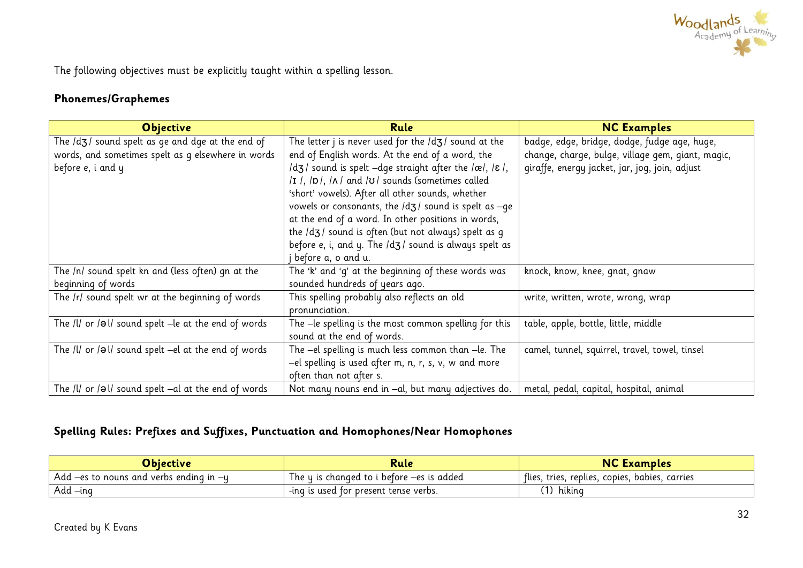

The following objectives must be explicitly taught within a spelling lesson.

### **Phonemes/Graphemes**

| <b>Objective</b>                                    | <b>Rule</b>                                              | <b>NC Examples</b>                                |
|-----------------------------------------------------|----------------------------------------------------------|---------------------------------------------------|
| The /d3/ sound spelt as ge and dge at the end of    | The letter $j$ is never used for the $/d3/$ sound at the | badge, edge, bridge, dodge, fudge age, huge,      |
| words, and sometimes spelt as g elsewhere in words  | end of English words. At the end of a word, the          | change, charge, bulge, village gem, giant, magic, |
| before e, i and y                                   | /d3/ sound is spelt -dge straight after the /œ/, /ɛ/,    | giraffe, energy jacket, jar, jog, join, adjust    |
|                                                     | $ I $ , $ D $ , $ A $ and $ U $ sounds (sometimes called |                                                   |
|                                                     | 'short' vowels). After all other sounds, whether         |                                                   |
|                                                     | vowels or consonants, the /d3/ sound is spelt as -ge     |                                                   |
|                                                     | at the end of a word. In other positions in words,       |                                                   |
|                                                     | the /d3/ sound is often (but not always) spelt as q      |                                                   |
|                                                     | before e, i, and y. The /d3/ sound is always spelt as    |                                                   |
|                                                     | before a, o and u.                                       |                                                   |
| The /n/ sound spelt kn and (less often) gn at the   | The 'k' and 'q' at the beginning of these words was      | knock, know, knee, gnat, gnaw                     |
| beginning of words                                  | sounded hundreds of years ago.                           |                                                   |
| The /r/ sound spelt wr at the beginning of words    | This spelling probably also reflects an old              | write, written, wrote, wrong, wrap                |
|                                                     | pronunciation.                                           |                                                   |
| The /l/ or /əl/ sound spelt -le at the end of words | The -le spelling is the most common spelling for this    | table, apple, bottle, little, middle              |
|                                                     | sound at the end of words.                               |                                                   |
| The /l/ or /al/ sound spelt -el at the end of words | The -el spelling is much less common than -le. The       | camel, tunnel, squirrel, travel, towel, tinsel    |
|                                                     | -el spelling is used after m, n, r, s, v, w and more     |                                                   |
|                                                     | often than not after s.                                  |                                                   |
| The /l/ or /əl/ sound spelt -al at the end of words | Not many nouns end in -al, but many adjectives do.       | metal, pedal, capital, hospital, animal           |

### **Spelling Rules: Prefixes and Suffixes, Punctuation and Homophones/Near Homophones**

| <b>Obiective</b>                        | Rule                                      | <b>NC Examples</b>                             |
|-----------------------------------------|-------------------------------------------|------------------------------------------------|
| Add —es to nouns and verbs ending in —y | The y is changed to i before —es is added | tlies, tries, replies, copies, babies, carries |
| Add -ing                                | -ing is used for present tense verbs.     | hiking                                         |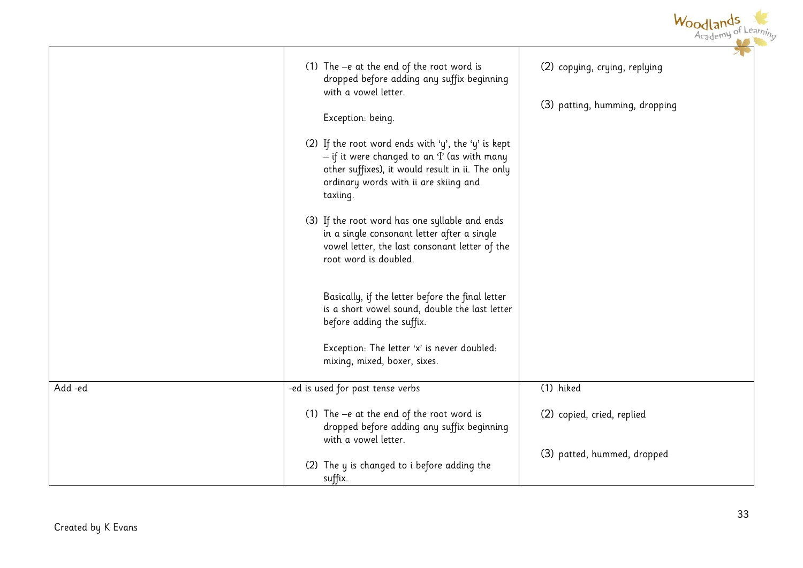|         |                                                                                                                                                                                                                                                                                                                                                                                                                                                                                                                                                                                                                                                                                                                                                      | Woodlands<br>Academy of Learning                                |
|---------|------------------------------------------------------------------------------------------------------------------------------------------------------------------------------------------------------------------------------------------------------------------------------------------------------------------------------------------------------------------------------------------------------------------------------------------------------------------------------------------------------------------------------------------------------------------------------------------------------------------------------------------------------------------------------------------------------------------------------------------------------|-----------------------------------------------------------------|
|         | (1) The -e at the end of the root word is<br>dropped before adding any suffix beginning<br>with a vowel letter.<br>Exception: being.<br>(2) If the root word ends with 'y', the 'y' is kept<br>$-$ if it were changed to an 'I' (as with many<br>other suffixes), it would result in ii. The only<br>ordinary words with ii are skiing and<br>taxiing.<br>(3) If the root word has one syllable and ends<br>in a single consonant letter after a single<br>vowel letter, the last consonant letter of the<br>root word is doubled.<br>Basically, if the letter before the final letter<br>is a short vowel sound, double the last letter<br>before adding the suffix.<br>Exception: The letter 'x' is never doubled:<br>mixing, mixed, boxer, sixes. | (2) copying, crying, replying<br>(3) patting, humming, dropping |
| Add -ed | -ed is used for past tense verbs                                                                                                                                                                                                                                                                                                                                                                                                                                                                                                                                                                                                                                                                                                                     | (1) hiked                                                       |
|         | (1) The -e at the end of the root word is<br>dropped before adding any suffix beginning<br>with a vowel letter.                                                                                                                                                                                                                                                                                                                                                                                                                                                                                                                                                                                                                                      | (2) copied, cried, replied                                      |
|         | (2) The y is changed to i before adding the<br>suffix.                                                                                                                                                                                                                                                                                                                                                                                                                                                                                                                                                                                                                                                                                               | (3) patted, hummed, dropped                                     |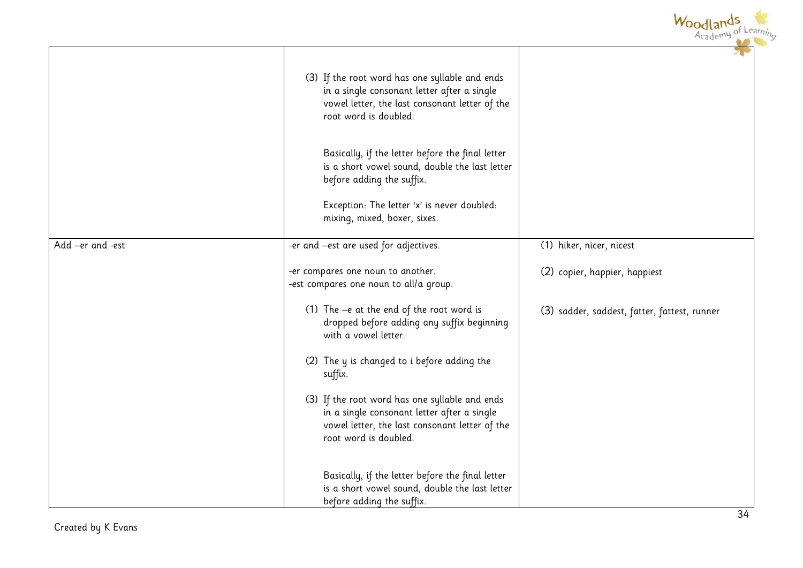|                  |                                                                                                                                                                                                                | Woodlands<br>Academy of Let                  |
|------------------|----------------------------------------------------------------------------------------------------------------------------------------------------------------------------------------------------------------|----------------------------------------------|
|                  | (3) If the root word has one syllable and ends<br>in a single consonant letter after a single<br>vowel letter, the last consonant letter of the<br>root word is doubled.                                       |                                              |
|                  | Basically, if the letter before the final letter<br>is a short vowel sound, double the last letter<br>before adding the suffix.<br>Exception: The letter 'x' is never doubled:<br>mixing, mixed, boxer, sixes. |                                              |
| Add -er and -est | -er and -est are used for adjectives.                                                                                                                                                                          | (1) hiker, nicer, nicest                     |
|                  | -er compares one noun to another.<br>-est compares one noun to all/a group.                                                                                                                                    | (2) copier, happier, happiest                |
|                  | (1) The -e at the end of the root word is<br>dropped before adding any suffix beginning<br>with a vowel letter.                                                                                                | (3) sadder, saddest, fatter, fattest, runner |
|                  | (2) The y is changed to i before adding the<br>suffix.                                                                                                                                                         |                                              |
|                  | (3) If the root word has one syllable and ends<br>in a single consonant letter after a single<br>vowel letter, the last consonant letter of the<br>root word is doubled.                                       |                                              |
|                  | Basically, if the letter before the final letter<br>is a short vowel sound, double the last letter<br>before adding the suffix.                                                                                |                                              |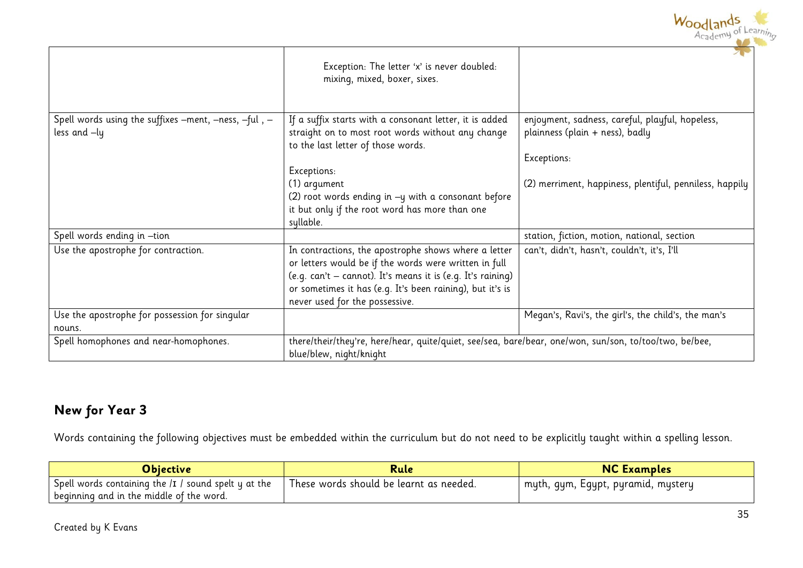|                                                                      |                                                                                                                                                                                                                                                                             | Woodlands<br>Academy of Learning                                                                                                                             |
|----------------------------------------------------------------------|-----------------------------------------------------------------------------------------------------------------------------------------------------------------------------------------------------------------------------------------------------------------------------|--------------------------------------------------------------------------------------------------------------------------------------------------------------|
|                                                                      | Exception: The letter 'x' is never doubled:<br>mixing, mixed, boxer, sixes.                                                                                                                                                                                                 |                                                                                                                                                              |
| Spell words using the suffixes -ment, -ness, -ful, -<br>less and -ly | If a suffix starts with a consonant letter, it is added<br>straight on to most root words without any change<br>to the last letter of those words.<br>Exceptions:<br>(1) argument<br>(2) root words ending in -y with a consonant before                                    | enjoyment, sadness, careful, playful, hopeless,<br>plainness (plain + ness), badly<br>Exceptions:<br>(2) merriment, happiness, plentiful, penniless, happily |
|                                                                      | it but only if the root word has more than one<br>syllable.                                                                                                                                                                                                                 |                                                                                                                                                              |
| Spell words ending in -tion                                          |                                                                                                                                                                                                                                                                             | station, fiction, motion, national, section                                                                                                                  |
| Use the apostrophe for contraction.                                  | In contractions, the apostrophe shows where a letter<br>or letters would be if the words were written in full<br>(e.g. can't - cannot). It's means it is (e.g. It's raining)<br>or sometimes it has (e.g. It's been raining), but it's is<br>never used for the possessive. | can't, didn't, hasn't, couldn't, it's, I'll                                                                                                                  |
| Use the apostrophe for possession for singular<br>nouns.             |                                                                                                                                                                                                                                                                             | Megan's, Ravi's, the girl's, the child's, the man's                                                                                                          |
| Spell homophones and near-homophones.                                | there/their/they're, here/hear, quite/quiet, see/sea, bare/bear, one/won, sun/son, to/too/two, be/bee,<br>blue/blew, night/knight                                                                                                                                           |                                                                                                                                                              |

## **New for Year 3**

Words containing the following objectives must be embedded within the curriculum but do not need to be explicitly taught within a spelling lesson.

| <b>Objective</b>                                     | Rule                                    | <b>NC Examples</b>                       |
|------------------------------------------------------|-----------------------------------------|------------------------------------------|
| Spell words containing the $I$ /sound spelt y at the | These words should be learnt as needed. | Egypt, pyramid, mystery<br>myth,<br>qym, |
| beginning and in the middle of the word. "           |                                         |                                          |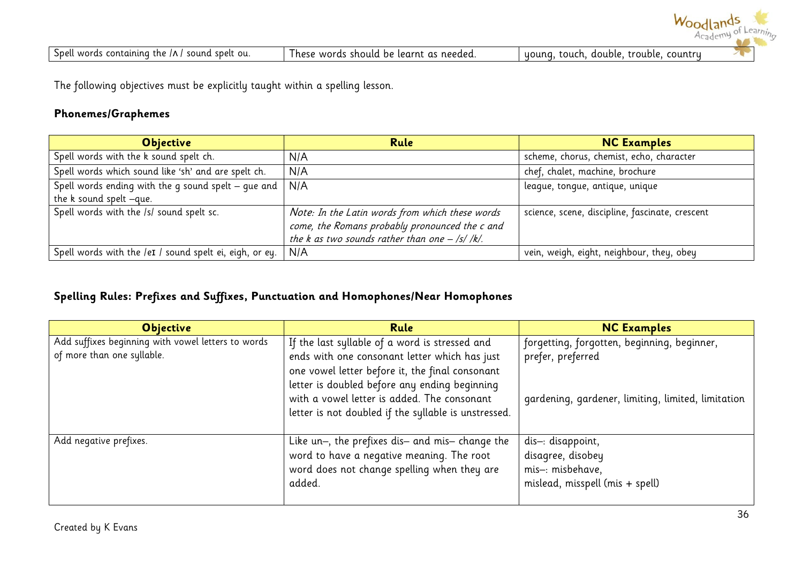

The following objectives must be explicitly taught within a spelling lesson.

#### **Phonemes/Graphemes**

| <b>Objective</b>                                                           | <b>Rule</b>                                          | <b>NC Examples</b>                              |
|----------------------------------------------------------------------------|------------------------------------------------------|-------------------------------------------------|
| Spell words with the k sound spelt ch.                                     | N/A                                                  | scheme, chorus, chemist, echo, character        |
| Spell words which sound like 'sh' and are spelt ch.                        | N/A                                                  | chef, chalet, machine, brochure                 |
| Spell words ending with the g sound spelt – que and $ N/A$                 |                                                      | league, tongue, antique, unique                 |
| the k sound spelt -que.                                                    |                                                      |                                                 |
| Spell words with the /s/ sound spelt sc.                                   | Note: In the Latin words from which these words      | science, scene, discipline, fascinate, crescent |
|                                                                            | come, the Romans probably pronounced the c and       |                                                 |
|                                                                            | the k as two sounds rather than one $-\frac{s}{k}$ . |                                                 |
| Spell words with the /eɪ / sound spelt ei, eigh, or ey. $\mid N/A \rangle$ |                                                      | vein, weigh, eight, neighbour, they, obey       |

### **Spelling Rules: Prefixes and Suffixes, Punctuation and Homophones/Near Homophones**

| <b>Objective</b>                                                                 | Rule                                                                                                                                                                                                                                                                                                       | <b>NC Examples</b>                                                                                                     |
|----------------------------------------------------------------------------------|------------------------------------------------------------------------------------------------------------------------------------------------------------------------------------------------------------------------------------------------------------------------------------------------------------|------------------------------------------------------------------------------------------------------------------------|
| Add suffixes beginning with vowel letters to words<br>of more than one syllable. | If the last syllable of a word is stressed and<br>ends with one consonant letter which has just<br>one vowel letter before it, the final consonant<br>letter is doubled before any ending beginning<br>with a vowel letter is added. The consonant<br>letter is not doubled if the syllable is unstressed. | forgetting, forgotten, beginning, beginner,<br>prefer, preferred<br>gardening, gardener, limiting, limited, limitation |
| Add negative prefixes.                                                           | Like un-, the prefixes dis- and mis- change the<br>word to have a negative meaning. The root<br>word does not change spelling when they are<br>added.                                                                                                                                                      | dis-: disappoint,<br>disagree, disobey<br>mis-: misbehave,<br>mislead, misspell (mis + spell)                          |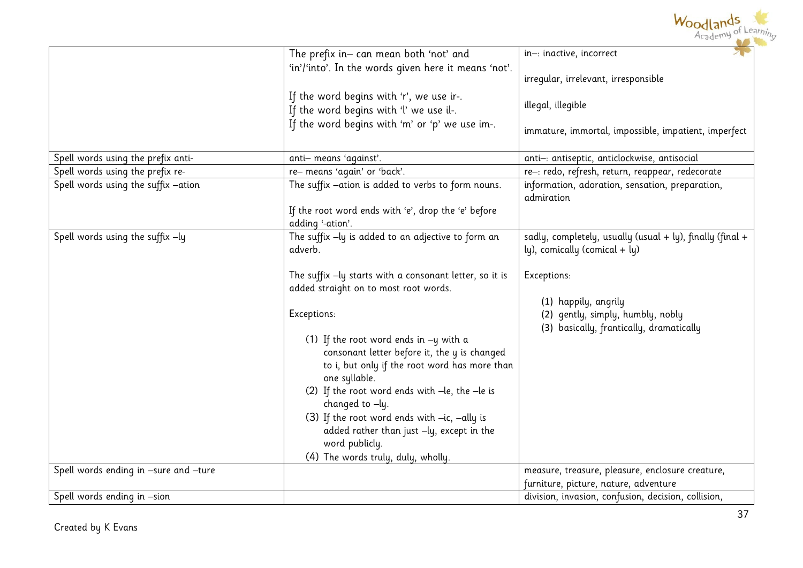|                                       |                                                                                                                                                                                                                                                                                                                                                                                                                                                                                                                                                                            | Woodlands<br>Academy of Learning                                                                                                                                                                                       |
|---------------------------------------|----------------------------------------------------------------------------------------------------------------------------------------------------------------------------------------------------------------------------------------------------------------------------------------------------------------------------------------------------------------------------------------------------------------------------------------------------------------------------------------------------------------------------------------------------------------------------|------------------------------------------------------------------------------------------------------------------------------------------------------------------------------------------------------------------------|
|                                       | The prefix in- can mean both 'not' and<br>'in'/'into'. In the words given here it means 'not'.                                                                                                                                                                                                                                                                                                                                                                                                                                                                             | in-: inactive, incorrect<br>irregular, irrelevant, irresponsible                                                                                                                                                       |
|                                       | If the word begins with 'r', we use ir-.<br>If the word begins with 'l' we use il-.<br>If the word begins with 'm' or 'p' we use im-.                                                                                                                                                                                                                                                                                                                                                                                                                                      | illegal, illegible<br>immature, immortal, impossible, impatient, imperfect                                                                                                                                             |
| Spell words using the prefix anti-    | anti-means 'against'.                                                                                                                                                                                                                                                                                                                                                                                                                                                                                                                                                      | anti-: antiseptic, anticlockwise, antisocial                                                                                                                                                                           |
| Spell words using the prefix re-      | re- means 'again' or 'back'.                                                                                                                                                                                                                                                                                                                                                                                                                                                                                                                                               | re-: redo, refresh, return, reappear, redecorate                                                                                                                                                                       |
| Spell words using the suffix -ation   | The suffix -ation is added to verbs to form nouns.<br>If the root word ends with 'e', drop the 'e' before<br>adding '-ation'.                                                                                                                                                                                                                                                                                                                                                                                                                                              | information, adoration, sensation, preparation,<br>admiration                                                                                                                                                          |
| Spell words using the suffix -ly      | The suffix - ly is added to an adjective to form an<br>adverb.<br>The suffix - ly starts with a consonant letter, so it is<br>added straight on to most root words.<br>Exceptions:<br>(1) If the root word ends in $-y$ with a<br>consonant letter before it, the y is changed<br>to i, but only if the root word has more than<br>one syllable.<br>(2) If the root word ends with -le, the -le is<br>changed to -ly.<br>(3) If the root word ends with -ic, -ally is<br>added rather than just -ly, except in the<br>word publicly.<br>(4) The words truly, duly, wholly. | sadly, completely, usually (usual $+$ ly), finally (final $+$<br>ly), comically (comical + ly)<br>Exceptions:<br>(1) happily, angrily<br>(2) gently, simply, humbly, nobly<br>(3) basically, frantically, dramatically |
| Spell words ending in -sure and -ture |                                                                                                                                                                                                                                                                                                                                                                                                                                                                                                                                                                            | measure, treasure, pleasure, enclosure creature,<br>furniture, picture, nature, adventure                                                                                                                              |
| Spell words ending in -sion           |                                                                                                                                                                                                                                                                                                                                                                                                                                                                                                                                                                            | division, invasion, confusion, decision, collision,                                                                                                                                                                    |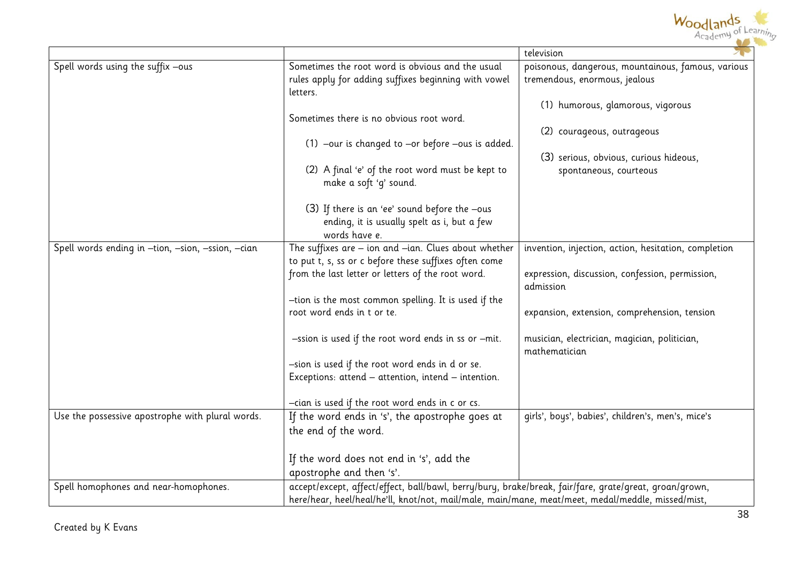

Woodlar